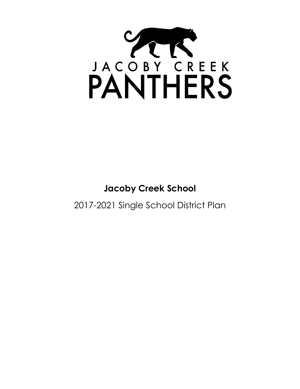

# **Jacoby Creek School**

2017-2021 Single School District Plan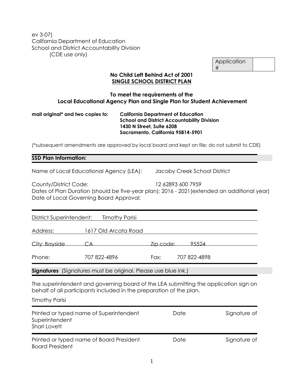ev 3-07) California Department of Education School and District Accountability Division (CDE use only)

| Application |  |
|-------------|--|
| #           |  |

#### **No Child Left Behind Act of 2001 SINGLE SCHOOL DISTRICT PLAN**

#### **To meet the requirements of the Local Educational Agency Plan and Single Plan for Student Achievement**

#### **mail original\* and two copies to: California Department of Education School and District Accountability Division 1430 N Street, Suite 6208 Sacramento, California 95814-5901**

(\*subsequent amendments are approved by local board and kept on file; do not submit to CDE)

#### **SSD Plan Information:**

Name of Local Educational Agency (LEA): Jacoby Creek School District

| County/District Code:                   | 12 62893 600 7959                                                                            |
|-----------------------------------------|----------------------------------------------------------------------------------------------|
|                                         | Dates of Plan Duration (should be five-year plan): 2016 - 2021 (extended an additional year) |
| Date of Local Governing Board Approval: |                                                                                              |

| District Superintendent: | <b>Timothy Parisi</b>                                                 |           |              |
|--------------------------|-----------------------------------------------------------------------|-----------|--------------|
| Address:                 | 1617 Old Arcata Road                                                  |           |              |
| City: Bayside            | CА                                                                    | Zip code: | 95524        |
| Phone:                   | 707 822-4896                                                          | Fax:      | 707 822-4898 |
|                          | <b>Signatures</b> (Signatures must be original. Please use blue ink.) |           |              |

The superintendent and governing board of the LEA submitting the application sign on behalf of all participants included in the preparation of the plan.

Timothy Parisi

| Printed or typed name of Superintendent<br>Superintendent<br>Shari Lovett | Date | Signature of |
|---------------------------------------------------------------------------|------|--------------|
| Printed or typed name of Board President<br><b>Board President</b>        | Date | Signature of |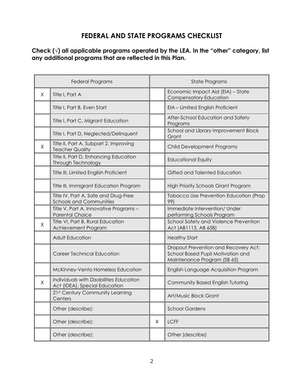# **FEDERAL AND STATE PROGRAMS CHECKLIST**

## **Check (√) all applicable programs operated by the LEA. In the "other" category, list any additional programs that are reflected in this Plan.**

| <b>Federal Programs</b> |                                                                          |   | <b>State Programs</b>                                                                                    |
|-------------------------|--------------------------------------------------------------------------|---|----------------------------------------------------------------------------------------------------------|
| X                       | Title I, Part A                                                          |   | Economic Impact Aid (EIA) - State<br><b>Compensatory Education</b>                                       |
|                         | Title I, Part B, Even Start                                              |   | EIA - Limited English Proficient                                                                         |
|                         | Title I, Part C, Migrant Education                                       |   | After-School Education and Safety<br>Programs                                                            |
|                         | Title I, Part D, Neglected/Delinquent                                    |   | School and Library Improvement Block<br>Grant                                                            |
| X                       | Title II, Part A, Subpart 2, Improving<br><b>Teacher Quality</b>         |   | Child Development Programs                                                                               |
|                         | Title II, Part D, Enhancing Education<br>Through Technology              |   | <b>Educational Equity</b>                                                                                |
|                         | Title III, Limited English Proficient                                    |   | Gifted and Talented Education                                                                            |
|                         | Title III, Immigrant Education Program                                   |   | <b>High Priority Schools Grant Program</b>                                                               |
|                         | Title IV, Part A, Safe and Drug-Free<br><b>Schools and Communities</b>   |   | <b>Tobacco Use Prevention Education (Prop</b><br>99)                                                     |
|                         | Title V, Part A, Innovative Programs -<br><b>Parental Choice</b>         |   | Immediate Intervention/ Under<br>performing Schools Program                                              |
| X                       | Title VI, Part B, Rural Education<br>Achievement Program                 |   | School Safety and Violence Prevention<br>Act (AB1113, AB 658)                                            |
|                         | <b>Adult Education</b>                                                   |   | <b>Healthy Start</b>                                                                                     |
|                         | <b>Career Technical Education</b>                                        |   | Dropout Prevention and Recovery Act:<br>School Based Pupil Motivation and<br>Maintenance Program (SB 65) |
|                         | McKinney-Vento Homeless Education                                        |   | English Language Acquisition Program                                                                     |
| Χ                       | Individuals with Disabilities Education<br>Act (IDEA), Special Education |   | Community Based English Tutoring                                                                         |
|                         | 21st Century Community Learning<br>Centers                               |   | Art/Music Block Grant                                                                                    |
|                         | Other (describe):                                                        |   | <b>School Gardens</b>                                                                                    |
|                         | Other (describe):                                                        | X | <b>LCFF</b>                                                                                              |
|                         | Other (describe):                                                        |   | Other (describe)                                                                                         |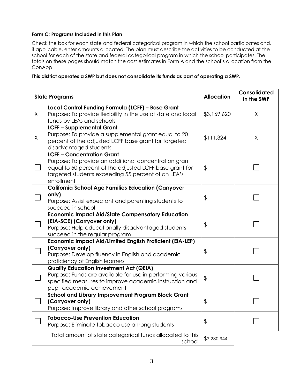#### **Form C: Programs Included in this Plan**

Check the box for each state and federal categorical program in which the school participates and, if applicable, enter amounts allocated. The plan must describe the activities to be conducted at the school for each of the state and federal categorical program in which the school participates. The totals on these pages should match the cost estimates in Form A and the school's allocation from the ConApp.

|  |  | This district operates a SWP but does not consolidate its funds as part of operating a SWP. |
|--|--|---------------------------------------------------------------------------------------------|
|  |  |                                                                                             |
|  |  |                                                                                             |

|         | <b>State Programs</b>                                                                                                                                                                                                   | <b>Allocation</b> | Consolidated<br>in the SWP |
|---------|-------------------------------------------------------------------------------------------------------------------------------------------------------------------------------------------------------------------------|-------------------|----------------------------|
| X       | Local Control Funding Formula (LCFF) - Base Grant<br>Purpose: To provide flexibility in the use of state and local<br>funds by LEAs and schools                                                                         | \$3,169,620       | X                          |
| $\sf X$ | <b>LCFF-Supplemental Grant</b><br>Purpose: To provide a supplemental grant equal to 20<br>percent of the adjusted LCFF base grant for targeted<br>disadvantaged students                                                | \$111,324         | X                          |
|         | <b>LCFF-Concentration Grant</b><br>Purpose: To provide an additional concentration grant<br>equal to 50 percent of the adjusted LCFF base grant for<br>targeted students exceeding 55 percent of an LEA's<br>enrollment | \$                |                            |
|         | <b>California School Age Families Education (Carryover</b><br>only)<br>Purpose: Assist expectant and parenting students to<br>succeed in school                                                                         | \$                |                            |
|         | <b>Economic Impact Aid/State Compensatory Education</b><br>(EIA-SCE) (Carryover only)<br>Purpose: Help educationally disadvantaged students<br>succeed in the regular program                                           | \$                |                            |
|         | <b>Economic Impact Aid/Limited English Proficient (EIA-LEP)</b><br>(Carryover only)<br>Purpose: Develop fluency in English and academic<br>proficiency of English learners                                              | \$                |                            |
|         | <b>Quality Education Investment Act (QEIA)</b><br>Purpose: Funds are available for use in performing various<br>specified measures to improve academic instruction and<br>pupil academic achievement                    | \$                |                            |
| $\Box$  | <b>School and Library Improvement Program Block Grant</b><br>(Carryover only)<br>Purpose: Improve library and other school programs                                                                                     | \$                |                            |
|         | <b>Tobacco-Use Prevention Education</b><br>Purpose: Eliminate tobacco use among students                                                                                                                                | \$                |                            |
|         | Total amount of state categorical funds allocated to this<br>school                                                                                                                                                     | \$3,280,944       |                            |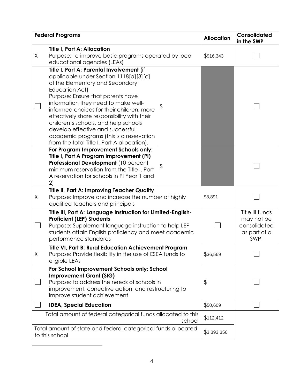| <b>Federal Programs</b> |                                                                                                                                                                                                                                                                                                                                                                                                                                                                                         |               | <b>Allocation</b> | Consolidated<br>in the SWP                                                        |
|-------------------------|-----------------------------------------------------------------------------------------------------------------------------------------------------------------------------------------------------------------------------------------------------------------------------------------------------------------------------------------------------------------------------------------------------------------------------------------------------------------------------------------|---------------|-------------------|-----------------------------------------------------------------------------------|
| X                       | <b>Title I, Part A: Allocation</b><br>Purpose: To improve basic programs operated by local<br>educational agencies (LEAs)                                                                                                                                                                                                                                                                                                                                                               |               | \$\$16,343        |                                                                                   |
|                         | Title I, Part A: Parental Involvement (if<br>applicable under Section 1118[a][3][c]<br>of the Elementary and Secondary<br>Education Act)<br>Purpose: Ensure that parents have<br>information they need to make well-<br>informed choices for their children, more<br>effectively share responsibility with their<br>children's schools, and help schools<br>develop effective and successful<br>academic programs (this is a reservation<br>from the total Title I, Part A allocation). | $\frac{1}{2}$ |                   |                                                                                   |
|                         | For Program Improvement Schools only:<br>Title I, Part A Program Improvement (PI)<br>Professional Development (10 percent<br>minimum reservation from the Title I, Part<br>A reservation for schools in PI Year 1 and<br>$\mathbf{2}$                                                                                                                                                                                                                                                   | \$            |                   |                                                                                   |
| X                       | <b>Title II, Part A: Improving Teacher Quality</b><br>Purpose: Improve and increase the number of highly<br>qualified teachers and principals                                                                                                                                                                                                                                                                                                                                           |               | \$8,891           |                                                                                   |
|                         | Title III, Part A: Language Instruction for Limited-English-<br><b>Proficient (LEP) Students</b><br>Purpose: Supplement language instruction to help LEP<br>students attain English proficiency and meet academic<br>performance standards                                                                                                                                                                                                                                              |               |                   | Title III funds<br>may not be<br>consolidated<br>as part of a<br>SWP <sup>1</sup> |
| Χ                       | <b>Title VI, Part B: Rural Education Achievement Program</b><br>Purpose: Provide flexibility in the use of ESEA funds to<br>eligible LEAs                                                                                                                                                                                                                                                                                                                                               |               | \$36,569          |                                                                                   |
|                         | For School Improvement Schools only: School<br><b>Improvement Grant (SIG)</b><br>Purpose: to address the needs of schools in<br>improvement, corrective action, and restructuring to<br>improve student achievement                                                                                                                                                                                                                                                                     |               | \$                |                                                                                   |
|                         | <b>IDEA, Special Education</b>                                                                                                                                                                                                                                                                                                                                                                                                                                                          |               | \$50,609          |                                                                                   |
|                         | Total amount of federal categorical funds allocated to this<br>school                                                                                                                                                                                                                                                                                                                                                                                                                   |               |                   |                                                                                   |
|                         | Total amount of state and federal categorical funds allocated<br>to this school                                                                                                                                                                                                                                                                                                                                                                                                         |               |                   |                                                                                   |

 $\overline{a}$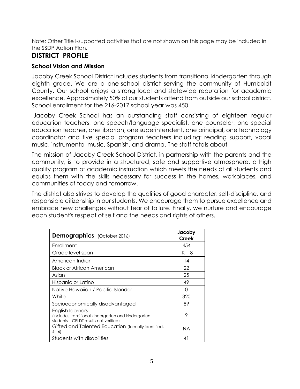Note: Other Title I-supported activities that are not shown on this page may be included in the SSDP Action Plan.

# **DISTRICT PROFILE**

## **School Vision and Mission**

Jacoby Creek School District includes students from transitional kindergarten through eighth grade. We are a one-school district serving the community of Humboldt County. Our school enjoys a strong local and statewide reputation for academic excellence. Approximately 50% of our students attend from outside our school district. School enrollment for the 216-2017 school year was 450.

Jacoby Creek School has an outstanding staff consisting of eighteen regular education teachers, one speech/language specialist, one counselor, one special education teacher, one librarian, one superintendent, one principal, one technology coordinator and five special program teachers including: reading support, vocal music, instrumental music, Spanish, and drama. The staff totals about

The mission of Jacoby Creek School District, in partnership with the parents and the community, is to provide in a structured, safe and supportive atmosphere, a high quality program of academic instruction which meets the needs of all students and equips them with the skills necessary for success in the homes, workplaces, and communities of today and tomorrow.

The district also strives to develop the qualities of good character, self-discipline, and responsible citizenship in our students. We encourage them to pursue excellence and embrace new challenges without fear of failure. Finally, we nurture and encourage each student's respect of self and the needs and rights of others.

| Demographics (October 2016)                                                                                        | Jacoby<br>Creek |
|--------------------------------------------------------------------------------------------------------------------|-----------------|
| Enrollment                                                                                                         | 454             |
| Grade level span                                                                                                   | $TK - 8$        |
| American Indian                                                                                                    | 14              |
| Black or African American                                                                                          | 22              |
| Asian                                                                                                              | 25              |
| Hispanic or Latino                                                                                                 | 49              |
| Native Hawaiian / Pacific Islander                                                                                 | Ω               |
| White                                                                                                              | 320             |
| Socioeconomically disadvantaged                                                                                    | 89              |
| English learners<br>(includes transitional kindergarten and kindergarten<br>students – CELDT results not verified) | 9               |
| Gifted and Talented Education (formally identified,<br>$4 - 6$                                                     | NA.             |
| Students with disabilities                                                                                         | 41              |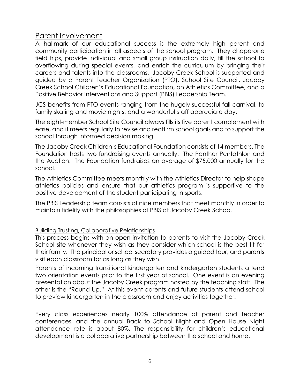# Parent Involvement

A hallmark of our educational success is the extremely high parent and community participation in all aspects of the school program. They chaperone field trips, provide individual and small group instruction daily, fill the school to overflowing during special events, and enrich the curriculum by bringing their careers and talents into the classrooms. Jacoby Creek School is supported and guided by a Parent Teacher Organization (PTO), School Site Council, Jacoby Creek School Children's Educational Foundation, an Athletics Committee, and a Positive Behavior Interventions and Support (PBIS) Leadership Team.

JCS benefits from PTO events ranging from the hugely successful fall carnival, to family skating and movie nights, and a wonderful staff appreciate day.

The eight-member School Site Council always fills its five parent complement with ease, and it meets regularly to revise and reaffirm school goals and to support the school through informed decision making.

The Jacoby Creek Children's Educational Foundation consists of 14 members. The Foundation hosts two fundraising events annually: The Panther Pentathlon and the Auction. The Foundation fundraises an average of \$75,000 annually for the school.

The Athletics Committee meets monthly with the Athletics Director to help shape athletics policies and ensure that our athletics program is supportive to the positive development of the student participating in sports.

The PBIS Leadership team consists of nice members that meet monthly in order to maintain fidelity with the philosophies of PBIS at Jacoby Creek Schoo.

## Building Trusting, Collaborative Relationships

This process begins with an open invitation to parents to visit the Jacoby Creek School site whenever they wish as they consider which school is the best fit for their family. The principal or school secretary provides a guided tour, and parents visit each classroom for as long as they wish.

Parents of incoming transitional kindergarten and kindergarten students attend two orientation events prior to the first year of school. One event is an evening presentation about the Jacoby Creek program hosted by the teaching staff. The other is the "Round-Up." At this event parents and future students attend school to preview kindergarten in the classroom and enjoy activities together.

Every class experiences nearly 100% attendance at parent and teacher conferences, and the annual Back to School Night and Open House Night attendance rate is about 80%. The responsibility for children's educational development is a collaborative partnership between the school and home.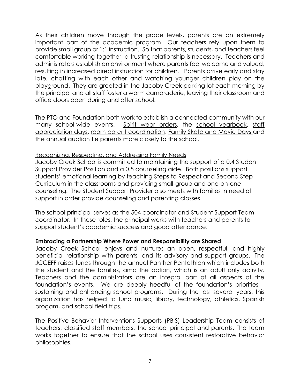As their children move through the grade levels, parents are an extremely important part of the academic program. Our teachers rely upon them to provide small group or 1:1 instruction. So that parents, students, and teachers feel comfortable working together, a trusting relationship is necessary. Teachers and administrators establish an environment where parents feel welcome and valued, resulting in increased direct instruction for children. Parents arrive early and stay late, chatting with each other and watching younger children play on the playground. They are greeted in the Jacoby Creek parking lot each morning by the principal and all staff foster a warm camaraderie, leaving their classroom and office doors open during and after school.

The PTO and Foundation both work to establish a connected community with our many school-wide events. Spirit wear orders, the school yearbook, staff appreciation days, room parent coordination, Family Skate and Movie Days and the annual auction tie parents more closely to the school.

### Recognizing, Respecting, and Addressing Family Needs

Jacoby Creek School is committed to maintaining the support of a 0.4 Student Support Provider Position and a 0.5 counseling aide. Both positions support students' emotional learning by teaching Steps to Respect and Second Step Curriculum in the classrooms and providing small-group and one-on-one counseling. The Student Support Provider also meets with families in need of support in order provide counseling and parenting classes.

The school principal serves as the 504 coordinator and Student Support Team coordinator. In these roles, the principal works with teachers and parents to support student's academic success and good attendance.

#### **Embracing a Partnership Where Power and Responsibility are Shared**

Jacoby Creek School enjoys and nurtures an open, respectful, and highly beneficial relationship with parents, and its advisory and support groups. The JCCEFF raises funds through the annual Panther Pentathlon which includes both the student and the families, amd the action, which is an adult only activity. Teachers and the administrators are an integral part of all aspects of the foundation's events. We are deeply heedful of the foundation's priorities – sustaining and enhancing school programs. During the last several years, this organization has helped to fund music, library, technology, athletics, Spanish progam, and school field trips.

The Positive Behavior Interventions Supports (PBIS) Leadership Team consists of teachers, classified staff members, the school principal and parents. The team works together to ensure that the school uses consistent restorative behavior philosophies.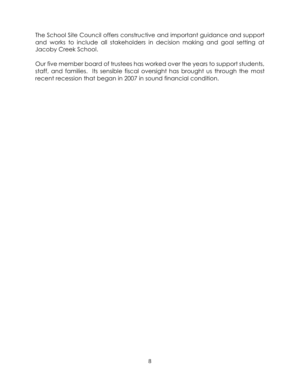The School Site Council offers constructive and important guidance and support and works to include all stakeholders in decision making and goal setting at Jacoby Creek School.

Our five member board of trustees has worked over the years to support students, staff, and families. Its sensible fiscal oversight has brought us through the most recent recession that began in 2007 in sound financial condition.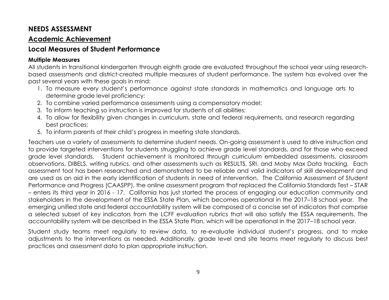# **NEEDS ASSESSMENT**

# **Academic Achievement**

# **Local Measures of Student Performance**

## **Multiple Measures**

All students in transitional kindergarten through eighth grade are evaluated throughout the school year using researchbased assessments and district-created multiple measures of student performance. The system has evolved over the past several years with these goals in mind:

- 1. To measure every student's performance against state standards in mathematics and language arts to determine grade level proficiency;
- 2. To combine varied performance assessments using a compensatory model;
- 3. To inform teaching so instruction is improved for students of all abilities;
- 4. To allow for flexibility given changes in curriculum, state and federal requirements, and research regarding best practices;
- 5. To inform parents of their child's progress in meeting state standards.

Teachers use a variety of assessments to determine student needs. On-going assessment is used to drive instruction and to provide targeted interventions for students struggling to achieve grade level standards, and for those who exceed grade level standards. Student achievement is monitored through curriculum embedded assessments, classroom observations, DIBELS, writing rubrics, and other assessments such as RESULTS, SRI, and Moby Max Data tracking*.* Each assessment tool has been researched and demonstrated to be reliable and valid indicators of skill development and are used as an aid in the early identification of students in need of intervention. The California Assessment of Student Performance and Progress (CAASPP), the online assessment program that replaced the California Standards Test – STAR – enters its third year in 2016 - 17. California has just started the process of engaging our education community and stakeholders in the development of the ESSA State Plan, which becomes operational in the 2017–18 school year. The emerging unified state and federal accountability system will be composed of a concise set of indicators that comprise a selected subset of key indicators from the LCFF evaluation rubrics that will also satisfy the ESSA requirements. The accountability system will be described in the ESSA State Plan, which will be operational in the 2017–18 school year.

Student study teams meet regularly to review data, to re-evaluate individual student's progress, and to make adjustments to the interventions as needed. Additionally, grade level and site teams meet regularly to discuss best practices and assessment data to plan appropriate instruction.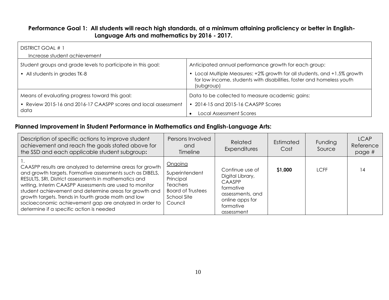### **Performance Goal 1: All students will reach high standards, at a minimum attaining proficiency or better in English-Language Arts and mathematics by 2016 - 2017.**

| DISTRICT GOAL # 1<br>Increase student achievement                                                                         |                                                                                                                                                                                                                          |
|---------------------------------------------------------------------------------------------------------------------------|--------------------------------------------------------------------------------------------------------------------------------------------------------------------------------------------------------------------------|
| Student groups and grade levels to participate in this goal:<br>• All students in grades TK-8                             | Anticipated annual performance growth for each group:<br>• Local Multiple Measures: +2% growth for all students, and +1.5% growth<br>for low income, students with disabilities, foster and homeless youth<br>(subgroup) |
| Means of evaluating progress toward this goal:<br>• Review 2015-16 and 2016-17 CAASPP scores and local assessment<br>data | Data to be collected to measure academic gains:<br>$\cdot$ 2014-15 and 2015-16 CAASPP Scores<br><b>Local Assessment Scores</b>                                                                                           |

## **Planned Improvement in Student Performance in Mathematics and English-Language Arts:**

| Description of specific actions to improve student<br>achievement and reach the goals stated above for<br>the SSD and each applicable student subgroup:                                                                                                                                                                                                                                                                                                           | Persons Involved<br>and<br><b>Timeline</b>                                                                      | <b>Related</b><br>Expenditures                                                                                               | Estimated<br>Cost | Funding<br>Source | <b>LCAP</b><br>Reference<br>page # |
|-------------------------------------------------------------------------------------------------------------------------------------------------------------------------------------------------------------------------------------------------------------------------------------------------------------------------------------------------------------------------------------------------------------------------------------------------------------------|-----------------------------------------------------------------------------------------------------------------|------------------------------------------------------------------------------------------------------------------------------|-------------------|-------------------|------------------------------------|
| CAASPP results are analyzed to determine areas for growth<br>and growth targets. Formative assessments such as DIBELS,<br>RESULTS, SRI, District assessments in mathematics and<br>writing, Interim CAASPP Assessments are used to monitor<br>student achievement and determine areas for growth and<br>growth targets. Trends in fourth grade math and low<br>socioeconomic achievement gap are analyzed in order to<br>determine if a specific action is needed | Ongoing<br>Superintendent<br>Principal<br><b>Teachers</b><br><b>Board of Trustees</b><br>School Site<br>Council | Continue use of<br>Digital Library,<br>CAASPP<br>formative<br>assessments, and<br>online apps for<br>formative<br>assessment | \$1,000           | <b>LCFF</b>       | 14                                 |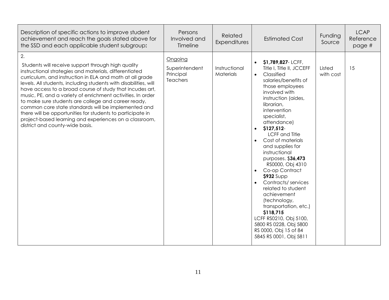| Description of specific actions to improve student<br>achievement and reach the goals stated above for<br>the SSD and each applicable student subgroup:                                                                                                                                                                                                                                                                                                                                                                                                                                                                                                | Persons<br>Involved and<br>Timeline                | Related<br>Expenditures    | <b>Estimated Cost</b>                                                                                                                                                                                                                                                                                                                                                                                                                                                                                                                                                                                                                           | Funding<br>Source   | <b>LCAP</b><br>Reference<br>page # |
|--------------------------------------------------------------------------------------------------------------------------------------------------------------------------------------------------------------------------------------------------------------------------------------------------------------------------------------------------------------------------------------------------------------------------------------------------------------------------------------------------------------------------------------------------------------------------------------------------------------------------------------------------------|----------------------------------------------------|----------------------------|-------------------------------------------------------------------------------------------------------------------------------------------------------------------------------------------------------------------------------------------------------------------------------------------------------------------------------------------------------------------------------------------------------------------------------------------------------------------------------------------------------------------------------------------------------------------------------------------------------------------------------------------------|---------------------|------------------------------------|
| 2.<br>Students will receive support through high quality<br>instructional strategies and materials, differentiated<br>curriculum, and instruction in ELA and math at all grade<br>levels. All students, including students with disabilities, will<br>have access to a broad course of study that incudes art,<br>music, PE, and a variety of enrichment activities. In order<br>to make sure students are college and career ready,<br>common core state standards will be implemented and<br>there will be opportunities for students to participate in<br>project-based learning and experiences on a classroom,<br>district and county-wide basis. | Ongoing<br>Superintendent<br>Principal<br>Teachers | Instructional<br>Materials | \$1,789,827-LCFF,<br>Title I, Title II, JCCEFF<br>Classified<br>$\bullet$<br>salaries/benefits of<br>those employees<br>involved with<br>instruction (aides,<br>librarian,<br>intervention<br>specialist,<br>attendance)<br>\$127,512-<br><b>LCFF</b> and Title<br>Cost of materials<br>and supplies for<br>instructional<br>purposes. \$36,473<br>RS0000, Obj 4310<br>Co-op Contract<br>$\bullet$<br><b>\$932</b> Supp<br>Contracts/services<br>related to student<br>achievement<br>(technology,<br>transportation, etc.)<br>\$118,715<br>LCFF RS0210, Obj 5100,<br>5800 RS 0228, Obj 5800<br>RS 0000, Obj 15 of 84<br>5845 RS 0001, Obj 5811 | Listed<br>with cost | 15                                 |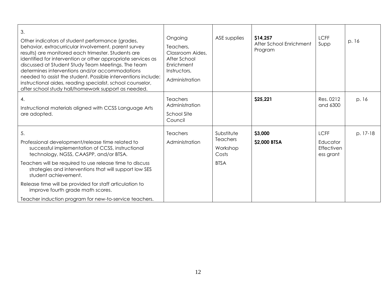| 3.<br>Other indicators of student performance (grades,<br>behavior, extracurricular involvement, parent survey<br>results) are monitored each trimester. Students are<br>identified for intervention or other appropriate services as<br>discussed at Student Study Team Meetings. The team<br>determines interventions and/or accommodations<br>needed to assist the student. Possible interventions include:<br>instructional aides, reading specialist, school counselor,<br>after school study hall/homework support as needed.<br>4.<br>Instructional materials aligned with CCSS Language Arts<br>are adopted. | Ongoing<br>Teachers,<br>Classroom Aides,<br>After School<br>Enrichment<br>Instructors,<br>Administration<br><b>Teachers</b><br>Administration<br><b>School Site</b><br>Council | ASE supplies                                                      | \$14,257<br>After School Enrichment<br>Program<br>\$25,221 | <b>LCFF</b><br>Supp<br>Res. 0212<br>and 6300       | p. 16<br>p. 16 |
|----------------------------------------------------------------------------------------------------------------------------------------------------------------------------------------------------------------------------------------------------------------------------------------------------------------------------------------------------------------------------------------------------------------------------------------------------------------------------------------------------------------------------------------------------------------------------------------------------------------------|--------------------------------------------------------------------------------------------------------------------------------------------------------------------------------|-------------------------------------------------------------------|------------------------------------------------------------|----------------------------------------------------|----------------|
| 5.<br>Professional development/release time related to<br>successful implementation of CCSS, instructional<br>technology, NGSS, CAASPP, and/or BTSA.<br>Teachers will be required to use release time to discuss<br>strategies and interventions that will support low SES<br>student achievement.<br>Release time will be provided for staff articulation to<br>improve fourth grade math scores.<br>Teacher induction program for new-to-service teachers.                                                                                                                                                         | <b>Teachers</b><br>Administration                                                                                                                                              | Substitute<br><b>Teachers</b><br>Workshop<br>Costs<br><b>BTSA</b> | \$3,000<br>\$2,000 BTSA                                    | <b>LCFF</b><br>Educator<br>Effectiven<br>ess grant | p. 17-18       |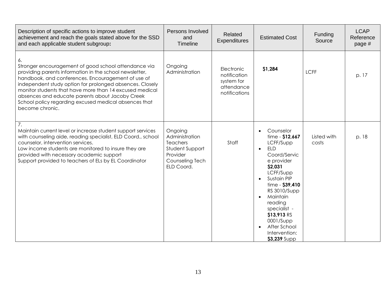| Description of specific actions to improve student<br>achievement and reach the goals stated above for the SSD<br>and each applicable student subgroup:                                                                                                                                                                                                                                                                           | Persons Involved<br>and<br>Timeline                                                                          | Related<br>Expenditures                                                 | <b>Estimated Cost</b>                                                                                                                                                                                                                                                                                                                                         | Funding<br>Source    | <b>LCAP</b><br>Reference<br>page # |
|-----------------------------------------------------------------------------------------------------------------------------------------------------------------------------------------------------------------------------------------------------------------------------------------------------------------------------------------------------------------------------------------------------------------------------------|--------------------------------------------------------------------------------------------------------------|-------------------------------------------------------------------------|---------------------------------------------------------------------------------------------------------------------------------------------------------------------------------------------------------------------------------------------------------------------------------------------------------------------------------------------------------------|----------------------|------------------------------------|
| 6.<br>Stronger encouragement of good school attendance via<br>providing parents information in the school newsletter,<br>handbook, and conferences. Encouragement of use of<br>independent study option for prolonged absences. Closely<br>monitor students that have more than 14 excused medical<br>absences and educate parents about Jacoby Creek<br>School policy regarding excused medical absences that<br>become chronic. | Ongoing<br>Administration                                                                                    | Electronic<br>notification<br>system for<br>attendance<br>notifications | \$1,284                                                                                                                                                                                                                                                                                                                                                       | <b>LCFF</b>          | p. 17                              |
| $\overline{7}$ .<br>Maintain current level or increase student support services<br>with counseling aide, reading specialist, ELD Coord., school<br>counselor, intervention services.<br>Low income students are monitored to insure they are<br>provided with necessary academic support<br>Support provided to teachers of ELs by EL Coordinator                                                                                 | Ongoing<br>Administration<br><b>Teachers</b><br>Student Support<br>Provider<br>Counseling Tech<br>ELD Coord. | Staff                                                                   | Counselor<br>$\bullet$<br>$time - $12,667$<br>LCFF/Supp<br><b>ELD</b><br>$\bullet$<br>Coord/Servic<br>e provider<br>\$2,031<br>LCFF/Supp<br>Sustain PIP<br>$\bullet$<br>$time - $39,410$<br><b>RS 3010/Supp</b><br>Maintain<br>$\bullet$<br>reading<br>specialist -<br>\$13,913 RS<br>0001/Supp<br>After School<br>$\bullet$<br>Intervention:<br>\$3,239 Supp | Listed with<br>costs | p. 18                              |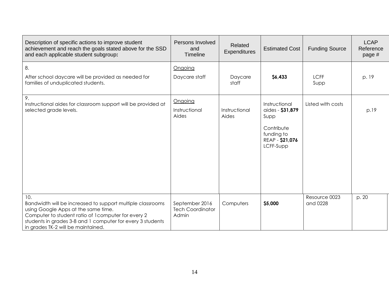| Description of specific actions to improve student<br>achievement and reach the goals stated above for the SSD<br>and each applicable student subgroup:                                                                                                             | Persons Involved<br>and<br><b>Timeline</b>         | Related<br><b>Expenditures</b> | <b>Estimated Cost</b>                                                                                 | <b>Funding Source</b>     | <b>LCAP</b><br>Reference<br>page # |
|---------------------------------------------------------------------------------------------------------------------------------------------------------------------------------------------------------------------------------------------------------------------|----------------------------------------------------|--------------------------------|-------------------------------------------------------------------------------------------------------|---------------------------|------------------------------------|
| 8.<br>After school daycare will be provided as needed for<br>families of unduplicated students.                                                                                                                                                                     | Ongoing<br>Daycare staff                           | Daycare<br>staff               | \$6,433                                                                                               | <b>LCFF</b><br>Supp       | p. 19                              |
| 9.<br>Instructional aides for classroom support will be provided at<br>selected grade levels.                                                                                                                                                                       | Ongoing<br>Instructional<br>Aides                  | Instructional<br>Aides         | Instructional<br>aides - \$31,879<br>Supp<br>Contribute<br>funding to<br>REAP - \$21,076<br>LCFF-Supp | Listed with costs         | p.19                               |
| 10.<br>Bandwidth will be increased to support multiple classrooms<br>using Google Apps at the same time.<br>Computer to student ratio of 1 computer for every 2<br>students in grades 3-8 and 1 computer for every 3 students<br>in grades TK-2 will be maintained. | September 2016<br><b>Tech Coordinator</b><br>Admin | Computers                      | \$5,000                                                                                               | Resource 0023<br>and 0228 | p. 20                              |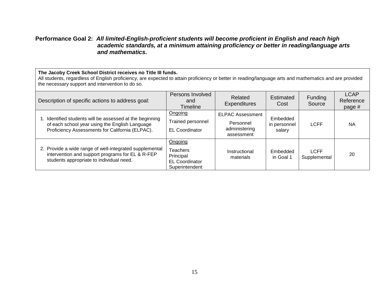#### **Performance Goal 2:** *All limited-English-proficient students will become proficient in English and reach high academic standards, at a minimum attaining proficiency or better in reading/language arts and mathematics.*

#### **The Jacoby Creek School District receives no Title III funds.**

All students, regardless of English proficiency, are expected to attain proficiency or better in reading/language arts and mathematics and are provided the necessary support and intervention to do so.

| Description of specific actions to address goal:                                                                                                           | Persons Involved<br>and<br><b>Timeline</b>                                  | Related<br><b>Expenditures</b>                                      | Estimated<br>Cost                  | <b>Funding</b><br>Source    | <b>LCAP</b><br>Reference<br>page # |
|------------------------------------------------------------------------------------------------------------------------------------------------------------|-----------------------------------------------------------------------------|---------------------------------------------------------------------|------------------------------------|-----------------------------|------------------------------------|
| Identified students will be assessed at the beginning<br>of each school year using the English Language<br>Proficiency Assessments for California (ELPAC). | Ongoing<br>Trained personnel<br><b>EL Coordinator</b>                       | <b>ELPAC Assessment</b><br>Personnel<br>administering<br>assessment | Embedded<br>in personnel<br>salary | <b>LCFF</b>                 | <b>NA</b>                          |
| 2. Provide a wide range of well-integrated supplemental<br>intervention and support programs for EL & R-FEP<br>students appropriate to individual need.    | Ongoing<br>Teachers<br>Principal<br><b>EL Coordinator</b><br>Superintendent | Instructional<br>materials                                          | Embedded<br>in Goal 1              | <b>LCFF</b><br>Supplemental | 20                                 |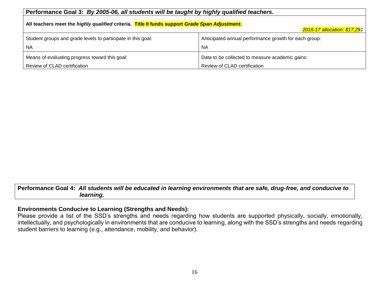| Performance Goal 3: By 2005-06, all students will be taught by highly qualified teachers.         |                                                       |  |  |  |  |  |
|---------------------------------------------------------------------------------------------------|-------------------------------------------------------|--|--|--|--|--|
| All teachers meet the highly qualified criteria. Title II funds support Grade Span Adjustment.    |                                                       |  |  |  |  |  |
| 2016-17 allocation: \$17,291                                                                      |                                                       |  |  |  |  |  |
| Student groups and grade levels to participate in this goal:                                      | Anticipated annual performance growth for each group: |  |  |  |  |  |
| <b>NA</b>                                                                                         | <b>NA</b>                                             |  |  |  |  |  |
| Means of evaluating progress toward this goal:<br>Data to be collected to measure academic gains: |                                                       |  |  |  |  |  |
| Review of CLAD certification                                                                      | Review of CLAD certification                          |  |  |  |  |  |

#### **Performance Goal 4:** *All students will be educated in learning environments that are safe, drug-free, and conducive to learning.*

#### **Environments Conducive to Learning (Strengths and Needs):**

Please provide a list of the SSD's strengths and needs regarding how students are supported physically, socially, emotionally, intellectually, and psychologically in environments that are conducive to learning, along with the SSD's strengths and needs regarding student barriers to learning (e.g., attendance, mobility, and behavior).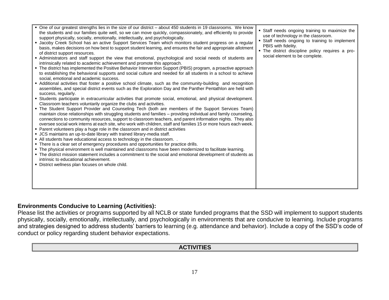| • One of our greatest strengths lies in the size of our district – about 450 students in 19 classrooms. We know<br>the students and our families quite well, so we can move quickly, compassionately, and efficiently to provide<br>support physically, socially, emotionally, intellectually, and psychologically.<br>• Jacoby Creek School has an active Support Services Team which monitors student progress on a regular<br>basis, makes decisions on how best to support student learning, and ensures the fair and appropriate allotment<br>of district support resources.<br>• Administrators and staff support the view that emotional, psychological and social needs of students are<br>intrinsically related to academic achievement and promote this approach.<br>• The district has implemented the Positive Behavior Intervention Support (PBIS) program, a proactive approach<br>to establishing the behavioral supports and social culture and needed for all students in a school to achieve<br>social, emotional and academic success.<br>• Additional activities that foster a positive school climate, such as the community-building and recognition<br>assemblies, and special district events such as the Exploration Day and the Panther Pentathlon are held with<br>success, regularly.<br>• Students participate in extracurricular activities that promote social, emotional, and physical development.<br>Classroom teachers voluntarily organize the clubs and activities.<br>. The Student Support Provider and Counseling Tech (both are members of the Support Services Team)<br>maintain close relationships with struggling students and families - providing individual and family counseling,<br>connections to community resources, support to classroom teachers, and parent information nights. They also<br>oversee social work interns at each site, who work with children, staff and families 15 or more hours each week.<br>• Parent volunteers play a huge role in the classroom and in district activities<br>• JCS maintains an up-to-date library with trained library-media staff.<br>• All students have educational access to technology in the classroom.<br>• There is a clear set of emergency procedures and opportunities for practice drills.<br>. The physical environment is well maintained and classrooms have been modernized to facilitate learning.<br>• The district mission statement includes a commitment to the social and emotional development of students as<br>intrinsic to educational achievement.<br>. District wellness plan focuses on whole child. | Staff needs ongoing training to maximize the<br>use of technology in the classroom.<br>• Staff needs ongoing to training to implement<br>PBIS with fidelity.<br>. The district discipline policy requires a pro-<br>social element to be complete. |
|------------------------------------------------------------------------------------------------------------------------------------------------------------------------------------------------------------------------------------------------------------------------------------------------------------------------------------------------------------------------------------------------------------------------------------------------------------------------------------------------------------------------------------------------------------------------------------------------------------------------------------------------------------------------------------------------------------------------------------------------------------------------------------------------------------------------------------------------------------------------------------------------------------------------------------------------------------------------------------------------------------------------------------------------------------------------------------------------------------------------------------------------------------------------------------------------------------------------------------------------------------------------------------------------------------------------------------------------------------------------------------------------------------------------------------------------------------------------------------------------------------------------------------------------------------------------------------------------------------------------------------------------------------------------------------------------------------------------------------------------------------------------------------------------------------------------------------------------------------------------------------------------------------------------------------------------------------------------------------------------------------------------------------------------------------------------------------------------------------------------------------------------------------------------------------------------------------------------------------------------------------------------------------------------------------------------------------------------------------------------------------------------------------------------------------------------------------------------------------------------------------------------------------------------------------------------------------------------------------------------------------|----------------------------------------------------------------------------------------------------------------------------------------------------------------------------------------------------------------------------------------------------|
|------------------------------------------------------------------------------------------------------------------------------------------------------------------------------------------------------------------------------------------------------------------------------------------------------------------------------------------------------------------------------------------------------------------------------------------------------------------------------------------------------------------------------------------------------------------------------------------------------------------------------------------------------------------------------------------------------------------------------------------------------------------------------------------------------------------------------------------------------------------------------------------------------------------------------------------------------------------------------------------------------------------------------------------------------------------------------------------------------------------------------------------------------------------------------------------------------------------------------------------------------------------------------------------------------------------------------------------------------------------------------------------------------------------------------------------------------------------------------------------------------------------------------------------------------------------------------------------------------------------------------------------------------------------------------------------------------------------------------------------------------------------------------------------------------------------------------------------------------------------------------------------------------------------------------------------------------------------------------------------------------------------------------------------------------------------------------------------------------------------------------------------------------------------------------------------------------------------------------------------------------------------------------------------------------------------------------------------------------------------------------------------------------------------------------------------------------------------------------------------------------------------------------------------------------------------------------------------------------------------------------------|----------------------------------------------------------------------------------------------------------------------------------------------------------------------------------------------------------------------------------------------------|

#### **Environments Conducive to Learning (Activities):**

Please list the activities or programs supported by all NCLB or state funded programs that the SSD will implement to support students physically, socially, emotionally, intellectually, and psychologically in environments that are conducive to learning. Include programs and strategies designed to address students' barriers to learning (e.g. attendance and behavior). Include a copy of the SSD's code of conduct or policy regarding student behavior expectations.

## **ACTIVITIES**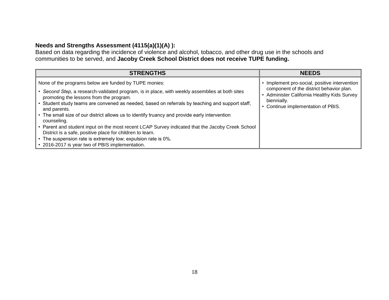## **Needs and Strengths Assessment (4115(a)(1)(A) ):**

Based on data regarding the incidence of violence and alcohol, tobacco, and other drug use in the schools and communities to be served, and **Jacoby Creek School District does not receive TUPE funding.**

| <b>STRENGTHS</b>                                                                                                                                                                                                                                           | <b>NEEDS</b>                                                                                                                               |
|------------------------------------------------------------------------------------------------------------------------------------------------------------------------------------------------------------------------------------------------------------|--------------------------------------------------------------------------------------------------------------------------------------------|
| None of the programs below are funded by TUPE monies:                                                                                                                                                                                                      | • Implement pro-social, positive intervention                                                                                              |
| Second Step, a research-validated program, is in place, with weekly assemblies at both sites<br>promoting the lessons from the program.<br>• Student study teams are convened as needed, based on referrals by teaching and support staff,<br>and parents. | component of the district behavior plan.<br>Administer California Healthy Kids Survey<br>biennially.<br>• Continue implementation of PBIS. |
| • The small size of our district allows us to identify truancy and provide early intervention<br>counseling.                                                                                                                                               |                                                                                                                                            |
| • Parent and student input on the most recent LCAP Survey indicated that the Jacoby Creek School<br>District is a safe, positive place for children to learn.                                                                                              |                                                                                                                                            |
| • The suspension rate is extremely low; expulsion rate is 0%.                                                                                                                                                                                              |                                                                                                                                            |
| • 2016-2017 is year two of PBIS implementation.                                                                                                                                                                                                            |                                                                                                                                            |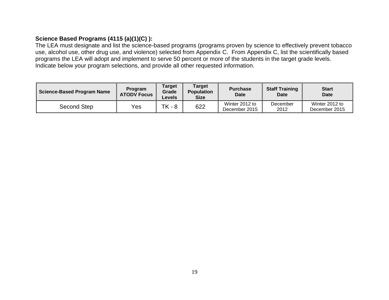## **Science Based Programs (4115 (a)(1)(C) ):**

The LEA must designate and list the science-based programs (programs proven by science to effectively prevent tobacco use, alcohol use, other drug use, and violence) selected from Appendix C. From Appendix C, list the scientifically based programs the LEA will adopt and implement to serve 50 percent or more of the students in the target grade levels. Indicate below your program selections, and provide all other requested information.

| <b>Science-Based Program Name</b> | <b>Program</b><br><b>ATODV Focus</b> | <b>Target</b><br>Grade<br>Levels | <b>Target</b><br><b>Population</b><br><b>Size</b> | <b>Purchase</b><br><b>Date</b>  | <b>Staff Training</b><br>Date | <b>Start</b><br>Date            |
|-----------------------------------|--------------------------------------|----------------------------------|---------------------------------------------------|---------------------------------|-------------------------------|---------------------------------|
| Second Step                       | Yes                                  | ТK<br>- 8                        | 622                                               | Winter 2012 to<br>December 2015 | December<br>2012              | Winter 2012 to<br>December 2015 |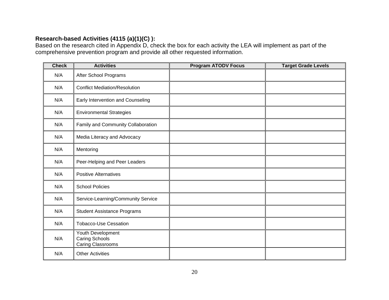## **Research-based Activities (4115 (a)(1)(C) ):**

Based on the research cited in Appendix D, check the box for each activity the LEA will implement as part of the comprehensive prevention program and provide all other requested information.

| <b>Check</b> | <b>Activities</b>                                        | <b>Program ATODV Focus</b> | <b>Target Grade Levels</b> |
|--------------|----------------------------------------------------------|----------------------------|----------------------------|
| N/A          | After School Programs                                    |                            |                            |
| N/A          | <b>Conflict Mediation/Resolution</b>                     |                            |                            |
| N/A          | Early Intervention and Counseling                        |                            |                            |
| N/A          | <b>Environmental Strategies</b>                          |                            |                            |
| N/A          | Family and Community Collaboration                       |                            |                            |
| N/A          | Media Literacy and Advocacy                              |                            |                            |
| N/A          | Mentoring                                                |                            |                            |
| N/A          | Peer-Helping and Peer Leaders                            |                            |                            |
| N/A          | <b>Positive Alternatives</b>                             |                            |                            |
| N/A          | <b>School Policies</b>                                   |                            |                            |
| N/A          | Service-Learning/Community Service                       |                            |                            |
| N/A          | <b>Student Assistance Programs</b>                       |                            |                            |
| N/A          | <b>Tobacco-Use Cessation</b>                             |                            |                            |
| N/A          | Youth Development<br>Caring Schools<br>Caring Classrooms |                            |                            |
| N/A          | <b>Other Activities</b>                                  |                            |                            |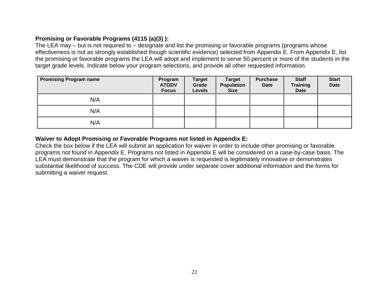## **Promising or Favorable Programs (4115 (a)(3) ):**

The LEA may – but is not required to – designate and list the promising or favorable programs (programs whose effectiveness is not as strongly established though scientific evidence) selected from Appendix E. From Appendix E, list the promising or favorable programs the LEA will adopt and implement to serve 50 percent or more of the students in the target grade levels. Indicate below your program selections, and provide all other requested information.

| <b>Promising Program name</b> | Program<br><b>ATODV</b><br><b>Focus</b> | <b>Target</b><br>Grade<br><b>Levels</b> | <b>Target</b><br><b>Population</b><br><b>Size</b> | <b>Purchase</b><br><b>Date</b> | <b>Staff</b><br><b>Training</b><br>Date | <b>Start</b><br><b>Date</b> |
|-------------------------------|-----------------------------------------|-----------------------------------------|---------------------------------------------------|--------------------------------|-----------------------------------------|-----------------------------|
| N/A                           |                                         |                                         |                                                   |                                |                                         |                             |
| N/A                           |                                         |                                         |                                                   |                                |                                         |                             |
| N/A                           |                                         |                                         |                                                   |                                |                                         |                             |

## **Waiver to Adopt Promising or Favorable Programs not listed in Appendix E:**

Check the box below if the LEA will submit an application for waiver in order to include other promising or favorable programs not found in Appendix E. Programs not listed in Appendix E will be considered on a case-by-case basis. The LEA must demonstrate that the program for which a waiver is requested is legitimately innovative or demonstrates substantial likelihood of success. The CDE will provide under separate cover additional information and the forms for submitting a waiver request.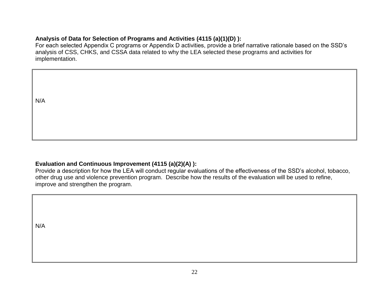## **Analysis of Data for Selection of Programs and Activities (4115 (a)(1)(D) ):**

For each selected Appendix C programs or Appendix D activities, provide a brief narrative rationale based on the SSD's analysis of CSS, CHKS, and CSSA data related to why the LEA selected these programs and activities for implementation.

N/A

### **Evaluation and Continuous Improvement (4115 (a)(2)(A) ):**

Provide a description for how the LEA will conduct regular evaluations of the effectiveness of the SSD's alcohol, tobacco, other drug use and violence prevention program. Describe how the results of the evaluation will be used to refine, improve and strengthen the program.

N/A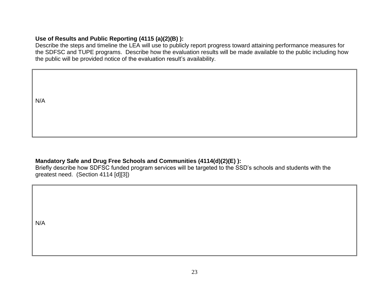## **Use of Results and Public Reporting (4115 (a)(2)(B) ):**

Describe the steps and timeline the LEA will use to publicly report progress toward attaining performance measures for the SDFSC and TUPE programs. Describe how the evaluation results will be made available to the public including how the public will be provided notice of the evaluation result's availability.

N/A

### **Mandatory Safe and Drug Free Schools and Communities (4114(d)(2)(E) ):**

Briefly describe how SDFSC funded program services will be targeted to the SSD's schools and students with the greatest need. (Section 4114 [d][3])

N/A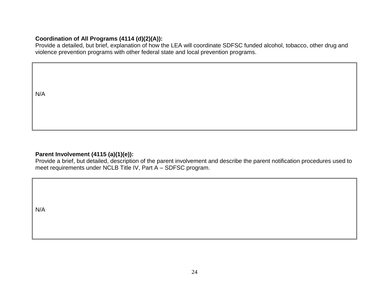### **Coordination of All Programs (4114 (d)(2)(A)):**

Provide a detailed, but brief, explanation of how the LEA will coordinate SDFSC funded alcohol, tobacco, other drug and violence prevention programs with other federal state and local prevention programs.

N/A

### **Parent Involvement (4115 (a)(1)(e)):**

Provide a brief, but detailed, description of the parent involvement and describe the parent notification procedures used to meet requirements under NCLB Title IV, Part A – SDFSC program.

N/A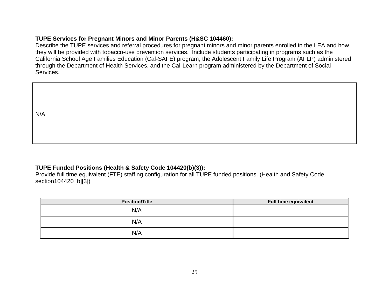### **TUPE Services for Pregnant Minors and Minor Parents (H&SC 104460):**

Describe the TUPE services and referral procedures for pregnant minors and minor parents enrolled in the LEA and how they will be provided with tobacco-use prevention services. Include students participating in programs such as the California School Age Families Education (Cal-SAFE) program, the Adolescent Family Life Program (AFLP) administered through the Department of Health Services, and the Cal-Learn program administered by the Department of Social Services.

N/A

### **TUPE Funded Positions (Health & Safety Code 104420(b)(3)):**

Provide full time equivalent (FTE) staffing configuration for all TUPE funded positions. (Health and Safety Code section104420 [b][3])

| <b>Position/Title</b> | Full time equivalent |
|-----------------------|----------------------|
| N/A                   |                      |
| N/A                   |                      |
| N/A                   |                      |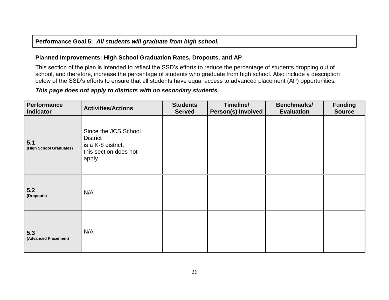### **Performance Goal 5:** *All students will graduate from high school.*

#### **Planned Improvements: High School Graduation Rates, Dropouts, and AP**

This section of the plan is intended to reflect the SSD's efforts to reduce the percentage of students dropping out of school, and therefore, increase the percentage of students who graduate from high school. Also include a description below of the SSD's efforts to ensure that all students have equal access to advanced placement (AP) opportunities*.*

#### *This page does not apply to districts with no secondary students.*

| <b>Performance</b><br><b>Indicator</b> | <b>Activities/Actions</b>                                                                        | <b>Students</b><br><b>Served</b> | Timeline/<br>Person(s) Involved | Benchmarks/<br><b>Evaluation</b> | <b>Funding</b><br><b>Source</b> |
|----------------------------------------|--------------------------------------------------------------------------------------------------|----------------------------------|---------------------------------|----------------------------------|---------------------------------|
| 5.1<br>(High School Graduates)         | Since the JCS School<br><b>District</b><br>is a K-8 district,<br>this section does not<br>apply. |                                  |                                 |                                  |                                 |
| 5.2<br>(Dropouts)                      | N/A                                                                                              |                                  |                                 |                                  |                                 |
| 5.3<br>(Advanced Placement)            | N/A                                                                                              |                                  |                                 |                                  |                                 |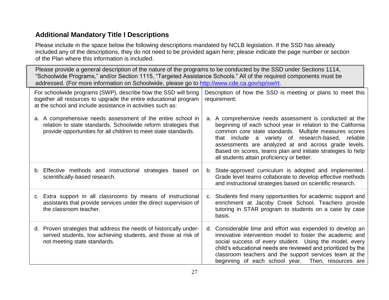# **Additional Mandatory Title I Descriptions**

Please include in the space below the following descriptions mandated by NCLB legislation. If the SSD has already included any of the descriptions, they do not need to be provided again here; please indicate the page number or section of the Plan where this information is included.

Please provide a general description of the nature of the programs to be conducted by the SSD under Sections 1114, "Schoolwide Programs," and/or Section 1115, "Targeted Assistance Schools." All of the required components must be addressed. (For more information on Schoolwide, please go to [http://www.cde.ca.gov/sp/sw/rt.](http://www.cde.ca.gov/sp/sw/rt)

| For schoolwide programs (SWP), describe how the SSD will bring<br>together all resources to upgrade the entire educational program<br>at the school and include assistance in activities such as: |                                                                                                                                                                                                  |    | Description of how the SSD is meeting or plans to meet this<br>requirement:                                                                                                                                                                                                                                                                                                                             |
|---------------------------------------------------------------------------------------------------------------------------------------------------------------------------------------------------|--------------------------------------------------------------------------------------------------------------------------------------------------------------------------------------------------|----|---------------------------------------------------------------------------------------------------------------------------------------------------------------------------------------------------------------------------------------------------------------------------------------------------------------------------------------------------------------------------------------------------------|
|                                                                                                                                                                                                   | a. A comprehensive needs assessment of the entire school in<br>relation to state standards. Schoolwide reform strategies that<br>provide opportunities for all children to meet state standards. | a. | A comprehensive needs assessment is conducted at the<br>beginning of each school year in relation to the California<br>common core state standards. Multiple measures scores<br>that include a variety of research-based, reliable<br>assessments are analyzed at and across grade levels.<br>Based on scores, teams plan and initiate strategies to help<br>all students attain proficiency or better. |
|                                                                                                                                                                                                   | b. Effective methods and instructional strategies based on<br>scientifically-based research.                                                                                                     |    | b. State-approved curriculum is adopted and implemented.<br>Grade level teams collaborate to develop effective methods<br>and instructional strategies based on scientific research.                                                                                                                                                                                                                    |
|                                                                                                                                                                                                   | c. Extra support in all classrooms by means of instructional<br>assistants that provide services under the direct supervision of<br>the classroom teacher.                                       | C. | Students find many opportunities for academic support and<br>enrichment at Jacoby Creek School. Teachers provide<br>tutoring in STAR program to students on a case by case<br>basis.                                                                                                                                                                                                                    |
|                                                                                                                                                                                                   | d. Proven strategies that address the needs of historically under-<br>served students, low achieving students, and those at risk of<br>not meeting state standards.                              | d. | Considerable time and effort was expended to develop an<br>innovative intervention model to foster the academic and<br>social success of every student. Using the model, every<br>child's educational needs are reviewed and prioritized by the<br>classroom teachers and the support services team at the<br>beginning of each school year. Then, resources are                                        |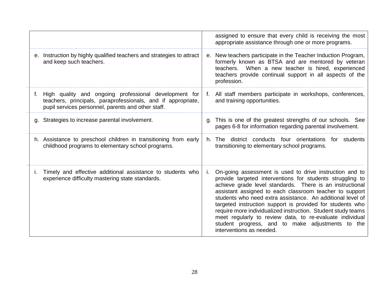|                                                                                                                                                                                   | assigned to ensure that every child is receiving the most<br>appropriate assistance through one or more programs.                                                                                                                                                                                                                                                                                                                                                                                                                                                                  |
|-----------------------------------------------------------------------------------------------------------------------------------------------------------------------------------|------------------------------------------------------------------------------------------------------------------------------------------------------------------------------------------------------------------------------------------------------------------------------------------------------------------------------------------------------------------------------------------------------------------------------------------------------------------------------------------------------------------------------------------------------------------------------------|
| e. Instruction by highly qualified teachers and strategies to attract<br>and keep such teachers.                                                                                  | New teachers participate in the Teacher Induction Program,<br>е.<br>formerly known as BTSA and are mentored by veteran<br>When a new teacher is hired, experienced<br>teachers.<br>teachers provide continual support in all aspects of the<br>profession.                                                                                                                                                                                                                                                                                                                         |
| High quality and ongoing professional development for<br>f.<br>teachers, principals, paraprofessionals, and if appropriate,<br>pupil services personnel, parents and other staff. | All staff members participate in workshops, conferences,<br>f.<br>and training opportunities.                                                                                                                                                                                                                                                                                                                                                                                                                                                                                      |
| g. Strategies to increase parental involvement.                                                                                                                                   | g. This is one of the greatest strengths of our schools. See<br>pages 6-8 for information regarding parental involvement.                                                                                                                                                                                                                                                                                                                                                                                                                                                          |
| h. Assistance to preschool children in transitioning from early<br>childhood programs to elementary school programs.                                                              | h. The district conducts four orientations for students<br>transitioning to elementary school programs.                                                                                                                                                                                                                                                                                                                                                                                                                                                                            |
| Timely and effective additional assistance to students who<br>experience difficulty mastering state standards.                                                                    | On-going assessment is used to drive instruction and to<br>provide targeted interventions for students struggling to<br>achieve grade level standards. There is an instructional<br>assistant assigned to each classroom teacher to support<br>students who need extra assistance. An additional level of<br>targeted instruction support is provided for students who<br>require more individualized instruction. Student study teams<br>meet regularly to review data, to re-evaluate individual<br>student progress, and to make adjustments to the<br>interventions as needed. |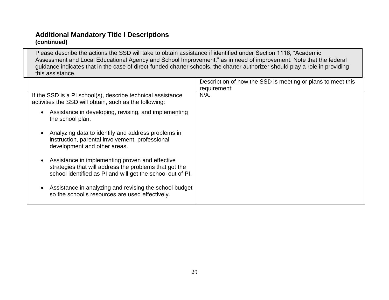# **Additional Mandatory Title I Descriptions (continued)**

Please describe the actions the SSD will take to obtain assistance if identified under Section 1116, "Academic Assessment and Local Educational Agency and School Improvement," as in need of improvement. Note that the federal guidance indicates that in the case of direct-funded charter schools, the charter authorizer should play a role in providing this assistance.

|                                                                                                                                                                                      | Description of how the SSD is meeting or plans to meet this<br>requirement: |
|--------------------------------------------------------------------------------------------------------------------------------------------------------------------------------------|-----------------------------------------------------------------------------|
| If the SSD is a PI school(s), describe technical assistance<br>activities the SSD will obtain, such as the following:                                                                | $N/A$ .                                                                     |
| Assistance in developing, revising, and implementing<br>the school plan.                                                                                                             |                                                                             |
| Analyzing data to identify and address problems in<br>instruction, parental involvement, professional<br>development and other areas.                                                |                                                                             |
| Assistance in implementing proven and effective<br>$\bullet$<br>strategies that will address the problems that got the<br>school identified as PI and will get the school out of PI. |                                                                             |
| Assistance in analyzing and revising the school budget<br>so the school's resources are used effectively.                                                                            |                                                                             |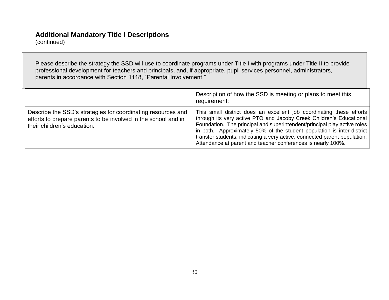# **Additional Mandatory Title I Descriptions**

(continued)

Please describe the strategy the SSD will use to coordinate programs under Title I with programs under Title II to provide professional development for teachers and principals, and, if appropriate, pupil services personnel, administrators, parents in accordance with Section 1118, "Parental Involvement."

|                                                                                                                                                               | Description of how the SSD is meeting or plans to meet this<br>requirement:                                                                                                                                                                                                                                                                                                                                                                    |
|---------------------------------------------------------------------------------------------------------------------------------------------------------------|------------------------------------------------------------------------------------------------------------------------------------------------------------------------------------------------------------------------------------------------------------------------------------------------------------------------------------------------------------------------------------------------------------------------------------------------|
| Describe the SSD's strategies for coordinating resources and<br>efforts to prepare parents to be involved in the school and in<br>their children's education. | This small district does an excellent job coordinating these efforts<br>through its very active PTO and Jacoby Creek Children's Educational<br>Foundation. The principal and superintendent/principal play active roles<br>in both. Approximately 50% of the student population is inter-district<br>transfer students, indicating a very active, connected parent population.<br>Attendance at parent and teacher conferences is nearly 100%. |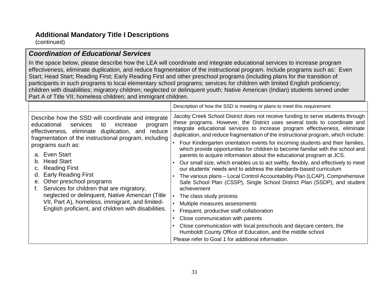# **Additional Mandatory Title I Descriptions**

(continued)

## *Coordination of Educational Services*

In the space below, please describe how the LEA will coordinate and integrate educational services to increase program effectiveness, eliminate duplication, and reduce fragmentation of the instructional program. Include programs such as: Even Start; Head Start; Reading First; Early Reading First and other preschool programs (including plans for the transition of participants in such programs to local elementary school programs; services for children with limited English proficiency; children with disabilities; migratory children; neglected or delinquent youth; Native American (Indian) students served under Part A of Title VII; homeless children; and immigrant children.

|                                                                                                                                                                                                                         | Description of how the SSD is meeting or plans to meet this requirement:                                                                                                                                                                                                                                                           |
|-------------------------------------------------------------------------------------------------------------------------------------------------------------------------------------------------------------------------|------------------------------------------------------------------------------------------------------------------------------------------------------------------------------------------------------------------------------------------------------------------------------------------------------------------------------------|
| Describe how the SSD will coordinate and integrate<br>educational<br>services<br>increase<br>to<br>program<br>effectiveness, eliminate duplication, and reduce<br>fragmentation of the instructional program, including | Jacoby Creek School District does not receive funding to serve students through<br>these programs. However, the District uses several tools to coordinate and<br>integrate educational services to increase program effectiveness, eliminate<br>duplication, and reduce fragmentation of the instructional program, which include: |
| programs such as:<br>a. Even Start                                                                                                                                                                                      | Four Kindergarten orientation events for incoming students and their families,<br>which provide opportunities for children to become familiar with the school and<br>parents to acquire information about the educational program at JCS.                                                                                          |
| <b>Head Start</b><br>b.<br><b>Reading First</b>                                                                                                                                                                         | Our small size, which enables us to act swiftly, flexibly, and effectively to meet<br>our students' needs and to address the standards-based curriculum                                                                                                                                                                            |
| <b>Early Reading First</b><br>d.<br>Other preschool programs<br>е.<br>Services for children that are migratory,                                                                                                         | The various plans – Local Control Accountability Plan (LCAP), Comprehensive<br>Safe School Plan (CSSP), Single School District Plan (SSDP), and student<br>achievement                                                                                                                                                             |
| neglected or delinquent, Native American (Title                                                                                                                                                                         | The class study process                                                                                                                                                                                                                                                                                                            |
| VII, Part A), homeless, immigrant, and limited-                                                                                                                                                                         | Multiple measures assessments                                                                                                                                                                                                                                                                                                      |
| English proficient, and children with disabilities.                                                                                                                                                                     | Frequent, productive staff collaboration                                                                                                                                                                                                                                                                                           |
|                                                                                                                                                                                                                         | Close communication with parents                                                                                                                                                                                                                                                                                                   |
|                                                                                                                                                                                                                         | Close communication with local preschools and daycare centers, the<br>Humboldt County Office of Education, and the middle school                                                                                                                                                                                                   |
|                                                                                                                                                                                                                         | Please refer to Goal 1 for additional information.                                                                                                                                                                                                                                                                                 |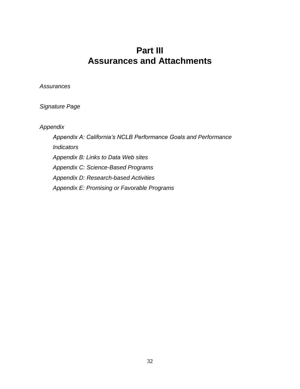# **Part III Assurances and Attachments**

*Assurances*

*Signature Page*

*Appendix*

*Appendix A: California's NCLB Performance Goals and Performance Indicators Appendix B: Links to Data Web sites Appendix C: Science-Based Programs Appendix D: Research-based Activities Appendix E: Promising or Favorable Programs*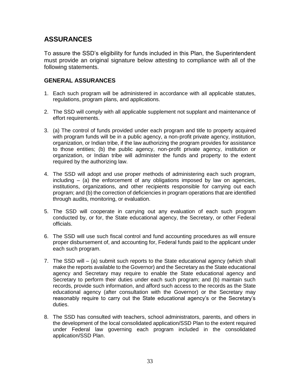# **ASSURANCES**

To assure the SSD's eligibility for funds included in this Plan, the Superintendent must provide an original signature below attesting to compliance with all of the following statements.

### **GENERAL ASSURANCES**

- 1. Each such program will be administered in accordance with all applicable statutes, regulations, program plans, and applications.
- 2. The SSD will comply with all applicable supplement not supplant and maintenance of effort requirements.
- 3. (a) The control of funds provided under each program and title to property acquired with program funds will be in a public agency, a non-profit private agency, institution, organization, or Indian tribe, if the law authorizing the program provides for assistance to those entities; (b) the public agency, non-profit private agency, institution or organization, or Indian tribe will administer the funds and property to the extent required by the authorizing law.
- 4. The SSD will adopt and use proper methods of administering each such program, including – (a) the enforcement of any obligations imposed by law on agencies, institutions, organizations, and other recipients responsible for carrying out each program; and (b) the correction of deficiencies in program operations that are identified through audits, monitoring, or evaluation.
- 5. The SSD will cooperate in carrying out any evaluation of each such program conducted by, or for, the State educational agency, the Secretary, or other Federal officials.
- 6. The SSD will use such fiscal control and fund accounting procedures as will ensure proper disbursement of, and accounting for, Federal funds paid to the applicant under each such program.
- 7. The SSD will (a) submit such reports to the State educational agency (which shall make the reports available to the Governor) and the Secretary as the State educational agency and Secretary may require to enable the State educational agency and Secretary to perform their duties under each such program; and (b) maintain such records, provide such information, and afford such access to the records as the State educational agency (after consultation with the Governor) or the Secretary may reasonably require to carry out the State educational agency's or the Secretary's duties.
- 8. The SSD has consulted with teachers, school administrators, parents, and others in the development of the local consolidated application/SSD Plan to the extent required under Federal law governing each program included in the consolidated application/SSD Plan.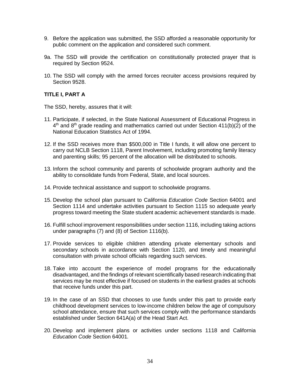- 9. Before the application was submitted, the SSD afforded a reasonable opportunity for public comment on the application and considered such comment.
- 9a. The SSD will provide the certification on constitutionally protected prayer that is required by Section 9524.
- 10. The SSD will comply with the armed forces recruiter access provisions required by Section 9528.

#### **TITLE I, PART A**

The SSD, hereby, assures that it will:

- 11. Participate, if selected, in the State National Assessment of Educational Progress in 4<sup>th</sup> and 8<sup>th</sup> grade reading and mathematics carried out under Section 411(b)(2) of the National Education Statistics Act of 1994.
- 12. If the SSD receives more than \$500,000 in Title I funds, it will allow one percent to carry out NCLB Section 1118, Parent Involvement, including promoting family literacy and parenting skills; 95 percent of the allocation will be distributed to schools.
- 13. Inform the school community and parents of schoolwide program authority and the ability to consolidate funds from Federal, State, and local sources.
- 14. Provide technical assistance and support to schoolwide programs.
- 15. Develop the school plan pursuant to California *Education Code* Section 64001 and Section 1114 and undertake activities pursuant to Section 1115 so adequate yearly progress toward meeting the State student academic achievement standards is made.
- 16. Fulfill school improvement responsibilities under section 1116, including taking actions under paragraphs (7) and (8) of Section 1116(b).
- 17. Provide services to eligible children attending private elementary schools and secondary schools in accordance with Section 1120, and timely and meaningful consultation with private school officials regarding such services.
- 18. Take into account the experience of model programs for the educationally disadvantaged, and the findings of relevant scientifically based research indicating that services may be most effective if focused on students in the earliest grades at schools that receive funds under this part.
- 19. In the case of an SSD that chooses to use funds under this part to provide early childhood development services to low-income children below the age of compulsory school attendance, ensure that such services comply with the performance standards established under Section 641A(a) of the Head Start Act.
- 20. Develop and implement plans or activities under sections 1118 and California *Education Code* Section 64001*.*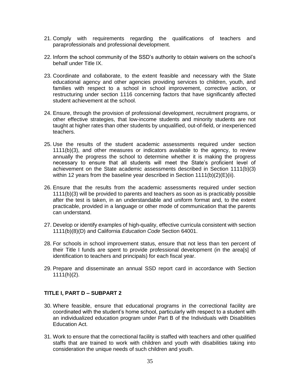- 21. Comply with requirements regarding the qualifications of teachers and paraprofessionals and professional development.
- 22. Inform the school community of the SSD's authority to obtain waivers on the school's behalf under Title IX.
- 23. Coordinate and collaborate, to the extent feasible and necessary with the State educational agency and other agencies providing services to children, youth, and families with respect to a school in school improvement, corrective action, or restructuring under section 1116 concerning factors that have significantly affected student achievement at the school.
- 24. Ensure, through the provision of professional development, recruitment programs, or other effective strategies, that low-income students and minority students are not taught at higher rates than other students by unqualified, out-of-field, or inexperienced teachers.
- 25. Use the results of the student academic assessments required under section 1111(b)(3), and other measures or indicators available to the agency, to review annually the progress the school to determine whether it is making the progress necessary to ensure that all students will meet the State's proficient level of achievement on the State academic assessments described in Section 1111(b)(3) within 12 years from the baseline year described in Section 1111(b)(2)(E)(ii).
- 26. Ensure that the results from the academic assessments required under section 1111(b)(3) will be provided to parents and teachers as soon as is practicably possible after the test is taken, in an understandable and uniform format and, to the extent practicable, provided in a language or other mode of communication that the parents can understand.
- 27. Develop or identify examples of high-quality, effective curricula consistent with section 1111(b)(8)(D) and California *Education Code* Section 64001.
- 28. For schools in school improvement status, ensure that not less than ten percent of their Title I funds are spent to provide professional development (in the area[s] of identification to teachers and principals) for each fiscal year.
- 29. Prepare and disseminate an annual SSD report card in accordance with Section  $1111(h)(2)$ .

#### **TITLE I, PART D – SUBPART 2**

- 30. Where feasible, ensure that educational programs in the correctional facility are coordinated with the student's home school, particularly with respect to a student with an individualized education program under Part B of the Individuals with Disabilities Education Act.
- 31. Work to ensure that the correctional facility is staffed with teachers and other qualified staffs that are trained to work with children and youth with disabilities taking into consideration the unique needs of such children and youth.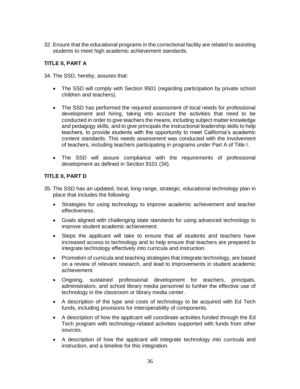32. Ensure that the educational programs in the correctional facility are related to assisting students to meet high academic achievement standards.

#### **TITLE II, PART A**

34. The SSD, hereby, assures that:

- The SSD will comply with Section 9501 (regarding participation by private school children and teachers).
- The SSD has performed the required assessment of local needs for professional development and hiring, taking into account the activities that need to be conducted in order to give teachers the means, including subject matter knowledge and pedagogy skills, and to give principals the instructional leadership skills to help teachers, to provide students with the opportunity to meet California's academic content standards. This needs assessment was conducted with the involvement of teachers, including teachers participating in programs under Part A of Title I.
- The SSD will assure compliance with the requirements of professional development as defined in Section 9101 (34).

#### **TITLE II, PART D**

- 35. The SSD has an updated, local, long-range, strategic, educational technology plan in place that includes the following:
	- Strategies for using technology to improve academic achievement and teacher effectiveness.
	- Goals aligned with challenging state standards for using advanced technology to improve student academic achievement.
	- Steps the applicant will take to ensure that all students and teachers have increased access to technology and to help ensure that teachers are prepared to integrate technology effectively into curricula and instruction.
	- Promotion of curricula and teaching strategies that integrate technology, are based on a review of relevant research, and lead to improvements in student academic achievement.
	- Ongoing, sustained professional development for teachers, principals, administrators, and school library media personnel to further the effective use of technology in the classroom or library media center.
	- A description of the type and costs of technology to be acquired with Ed Tech funds, including provisions for interoperability of components.
	- A description of how the applicant will coordinate activities funded through the Ed Tech program with technology-related activities supported with funds from other sources.
	- A description of how the applicant will integrate technology into curricula and instruction, and a timeline for this integration.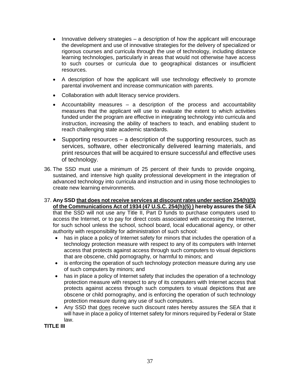- Innovative delivery strategies a description of how the applicant will encourage the development and use of innovative strategies for the delivery of specialized or rigorous courses and curricula through the use of technology, including distance learning technologies, particularly in areas that would not otherwise have access to such courses or curricula due to geographical distances or insufficient resources.
- A description of how the applicant will use technology effectively to promote parental involvement and increase communication with parents.
- Collaboration with adult literacy service providers.
- Accountability measures a description of the process and accountability measures that the applicant will use to evaluate the extent to which activities funded under the program are effective in integrating technology into curricula and instruction, increasing the ability of teachers to teach, and enabling student to reach challenging state academic standards.
- Supporting resources a description of the supporting resources, such as services, software, other electronically delivered learning materials, and print resources that will be acquired to ensure successful and effective uses of technology.
- 36. The SSD must use a minimum of 25 percent of their funds to provide ongoing, sustained, and intensive high quality professional development in the integration of advanced technology into curricula and instruction and in using those technologies to create new learning environments.
- 37. **Any SSD that does not receive services at discount rates under section 254(h)(5) of the Communications Act of 1934 (47 U.S.C. 254(h)(5) ) hereby assures the SEA** that the SSD will not use any Title II, Part D funds to purchase computers used to access the Internet, or to pay for direct costs associated with accessing the Internet, for such school unless the school, school board, local educational agency, or other authority with responsibility for administration of such school:
	- has in place a policy of Internet safety for minors that includes the operation of a technology protection measure with respect to any of its computers with Internet access that protects against access through such computers to visual depictions that are obscene, child pornography, or harmful to minors; and
	- is enforcing the operation of such technology protection measure during any use of such computers by minors; and
	- has in place a policy of Internet safety that includes the operation of a technology protection measure with respect to any of its computers with Internet access that protects against access through such computers to visual depictions that are obscene or child pornography, and is enforcing the operation of such technology protection measure during any use of such computers.
	- Any SSD that does receive such discount rates hereby assures the SEA that it will have in place a policy of Internet safety for minors required by Federal or State law.

**TITLE III**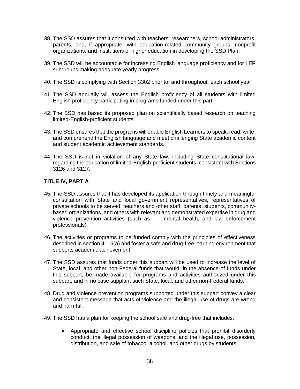- 38. The SSD assures that it consulted with teachers, researchers, school administrators, parents, and, if appropriate, with education-related community groups, nonprofit organizations, and institutions of higher education in developing the SSD Plan.
- 39. The SSD will be accountable for increasing English language proficiency and for LEP subgroups making adequate yearly progress.
- 40. The SSD is complying with Section 3302 prior to, and throughout, each school year.
- 41. The SSD annually will assess the English proficiency of all students with limited English proficiency participating in programs funded under this part.
- 42. The SSD has based its proposed plan on scientifically based research on teaching limited-English-proficient students.
- 43. The SSD ensures that the programs will enable English Learners to speak, read, write, and comprehend the English language and meet challenging State academic content and student academic achievement standards.
- 44. The SSD is not in violation of any State law, including State constitutional law, regarding the education of limited-English-proficient students, consistent with Sections 3126 and 3127.

#### **TITLE IV, PART A**

- 45. The SSD assures that it has developed its application through timely and meaningful consultation with State and local government representatives, representatives of private schools to be served, teachers and other staff, parents, students, communitybased organizations, and others with relevant and demonstrated expertise in drug and violence prevention activities (such as , mental health, and law enforcement professionals).
- 46. The activities or programs to be funded comply with the principles of effectiveness described in section 4115(a) and foster a safe and drug-free learning environment that supports academic achievement.
- 47. The SSD assures that funds under this subpart will be used to increase the level of State, local, and other non-Federal funds that would, in the absence of funds under this subpart, be made available for programs and activities authorized under this subpart, and in no case supplant such State, local, and other non-Federal funds.
- 48. Drug and violence prevention programs supported under this subpart convey a clear and consistent message that acts of violence and the illegal use of drugs are wrong and harmful.
- 49. The SSD has a plan for keeping the school safe and drug-free that includes:
	- Appropriate and effective school discipline policies that prohibit disorderly conduct, the illegal possession of weapons, and the illegal use, possession, distribution, and sale of tobacco, alcohol, and other drugs by students.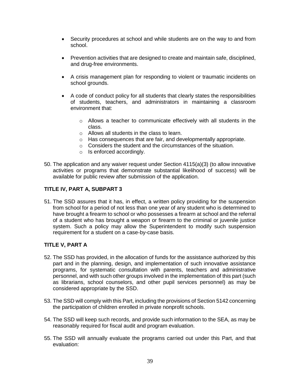- Security procedures at school and while students are on the way to and from school.
- Prevention activities that are designed to create and maintain safe, disciplined, and drug-free environments.
- A crisis management plan for responding to violent or traumatic incidents on school grounds.
- A code of conduct policy for all students that clearly states the responsibilities of students, teachers, and administrators in maintaining a classroom environment that:
	- $\circ$  Allows a teacher to communicate effectively with all students in the class.
	- o Allows all students in the class to learn.
	- o Has consequences that are fair, and developmentally appropriate.
	- o Considers the student and the circumstances of the situation.
	- o Is enforced accordingly.
- 50. The application and any waiver request under Section 4115(a)(3) (to allow innovative activities or programs that demonstrate substantial likelihood of success) will be available for public review after submission of the application.

#### **TITLE IV, PART A, SUBPART 3**

51. The SSD assures that it has, in effect, a written policy providing for the suspension from school for a period of not less than one year of any student who is determined to have brought a firearm to school or who possesses a firearm at school and the referral of a student who has brought a weapon or firearm to the criminal or juvenile justice system. Such a policy may allow the Superintendent to modify such suspension requirement for a student on a case-by-case basis.

#### **TITLE V, PART A**

- 52. The SSD has provided, in the allocation of funds for the assistance authorized by this part and in the planning, design, and implementation of such innovative assistance programs, for systematic consultation with parents, teachers and administrative personnel, and with such other groups involved in the implementation of this part (such as librarians, school counselors, and other pupil services personnel) as may be considered appropriate by the SSD.
- 53. The SSD will comply with this Part, including the provisions of Section 5142 concerning the participation of children enrolled in private nonprofit schools.
- 54. The SSD will keep such records, and provide such information to the SEA, as may be reasonably required for fiscal audit and program evaluation.
- 55. The SSD will annually evaluate the programs carried out under this Part, and that evaluation: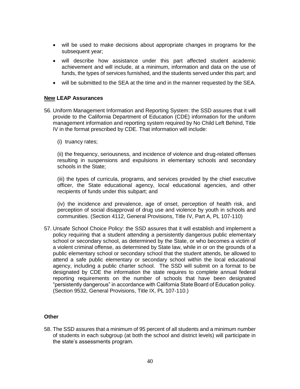- will be used to make decisions about appropriate changes in programs for the subsequent year;
- will describe how assistance under this part affected student academic achievement and will include, at a minimum, information and data on the use of funds, the types of services furnished, and the students served under this part; and
- will be submitted to the SEA at the time and in the manner requested by the SEA.

#### **New LEAP Assurances**

- 56. Uniform Management Information and Reporting System: the SSD assures that it will provide to the California Department of Education (CDE) information for the uniform management information and reporting system required by No Child Left Behind, Title IV in the format prescribed by CDE. That information will include:
	- (i) truancy rates;

(ii) the frequency, seriousness, and incidence of violence and drug-related offenses resulting in suspensions and expulsions in elementary schools and secondary schools in the State;

(iii) the types of curricula, programs, and services provided by the chief executive officer, the State educational agency, local educational agencies, and other recipients of funds under this subpart; and

(iv) the incidence and prevalence, age of onset, perception of health risk, and perception of social disapproval of drug use and violence by youth in schools and communities. (Section 4112, General Provisions, Title IV, Part A, PL 107-110)

57. Unsafe School Choice Policy: the SSD assures that it will establish and implement a policy requiring that a student attending a persistently dangerous public elementary school or secondary school, as determined by the State, or who becomes a victim of a violent criminal offense, as determined by State law, while in or on the grounds of a public elementary school or secondary school that the student attends, be allowed to attend a safe public elementary or secondary school within the local educational agency, including a public charter school. The SSD will submit on a format to be designated by CDE the information the state requires to complete annual federal reporting requirements on the number of schools that have been designated "persistently dangerous" in accordance with California State Board of Education policy. (Section 9532, General Provisions, Title IX, PL 107-110.)

#### **Other**

58. The SSD assures that a minimum of 95 percent of all students and a minimum number of students in each subgroup (at both the school and district levels) will participate in the state's assessments program.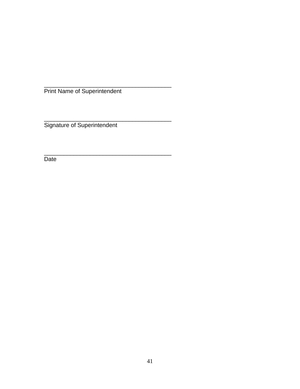\_\_\_\_\_\_\_\_\_\_\_\_\_\_\_\_\_\_\_\_\_\_\_\_\_\_\_\_\_\_\_\_\_\_\_\_\_\_\_ Print Name of Superintendent

\_\_\_\_\_\_\_\_\_\_\_\_\_\_\_\_\_\_\_\_\_\_\_\_\_\_\_\_\_\_\_\_\_\_\_\_\_\_\_ Signature of Superintendent

\_\_\_\_\_\_\_\_\_\_\_\_\_\_\_\_\_\_\_\_\_\_\_\_\_\_\_\_\_\_\_\_\_\_\_\_\_\_\_

Date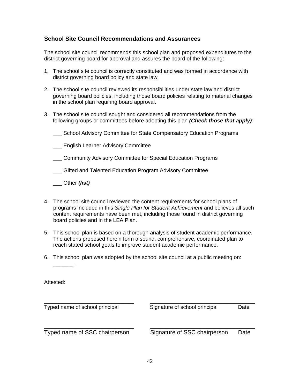#### **School Site Council Recommendations and Assurances**

The school site council recommends this school plan and proposed expenditures to the district governing board for approval and assures the board of the following:

- 1. The school site council is correctly constituted and was formed in accordance with district governing board policy and state law.
- 2. The school site council reviewed its responsibilities under state law and district governing board policies, including those board policies relating to material changes in the school plan requiring board approval.
- 3. The school site council sought and considered all recommendations from the following groups or committees before adopting this plan *(Check those that apply):*
	- \_\_\_ School Advisory Committee for State Compensatory Education Programs
	- \_\_\_ English Learner Advisory Committee
	- \_\_\_ Community Advisory Committee for Special Education Programs
	- \_\_\_ Gifted and Talented Education Program Advisory Committee
	- \_\_\_ Other *(list)*
- 4. The school site council reviewed the content requirements for school plans of programs included in this *Single Plan for Student Achievement* and believes all such content requirements have been met, including those found in district governing board policies and in the LEA Plan.
- 5. This school plan is based on a thorough analysis of student academic performance. The actions proposed herein form a sound, comprehensive, coordinated plan to reach stated school goals to improve student academic performance.
- 6. This school plan was adopted by the school site council at a public meeting on:

Attested:

\_\_\_\_\_\_\_.

| Typed name of school principal | Signature of school principal | Date |
|--------------------------------|-------------------------------|------|
| Typed name of SSC chairperson  | Signature of SSC chairperson  | Date |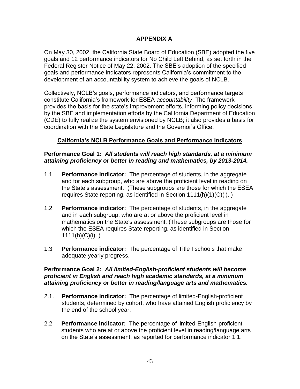## **APPENDIX A**

On May 30, 2002, the California State Board of Education (SBE) adopted the five goals and 12 performance indicators for No Child Left Behind, as set forth in the Federal Register Notice of May 22, 2002. The SBE's adoption of the specified goals and performance indicators represents California's commitment to the development of an accountability system to achieve the goals of NCLB.

Collectively, NCLB's goals, performance indicators, and performance targets constitute California's framework for ESEA *accountability*. The framework provides the basis for the state's improvement efforts, informing policy decisions by the SBE and implementation efforts by the California Department of Education (CDE) to fully realize the system envisioned by NCLB; it also provides a basis for coordination with the State Legislature and the Governor's Office.

### **California's NCLB Performance Goals and Performance Indicators**

#### **Performance Goal 1:** *All students will reach high standards, at a minimum attaining proficiency or better in reading and mathematics, by 2013-2014.*

- 1.1 **Performance indicator:** The percentage of students, in the aggregate and for each subgroup, who are above the proficient level in reading on the State's assessment. (These subgroups are those for which the ESEA requires State reporting, as identified in Section 1111(h)(1)(C)(i). )
- 1.2 **Performance indicator:** The percentage of students, in the aggregate and in each subgroup, who are at or above the proficient level in mathematics on the State's assessment. (These subgroups are those for which the ESEA requires State reporting, as identified in Section  $1111(h)(C)(i)$ . )
- 1.3 **Performance indicator:** The percentage of Title I schools that make adequate yearly progress.

#### **Performance Goal 2:** *All limited-English-proficient students will become proficient in English and reach high academic standards, at a minimum attaining proficiency or better in reading/language arts and mathematics.*

- 2.1. **Performance indicator:** The percentage of limited-English-proficient students, determined by cohort, who have attained English proficiency by the end of the school year.
- 2.2 **Performance indicator:** The percentage of limited-English-proficient students who are at or above the proficient level in reading/language arts on the State's assessment, as reported for performance indicator 1.1.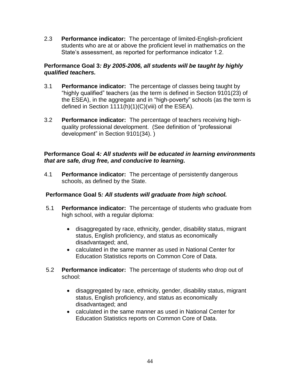2.3 **Performance indicator:** The percentage of limited-English-proficient students who are at or above the proficient level in mathematics on the State's assessment, as reported for performance indicator 1.2.

## **Performance Goal 3***: By 2005-2006, all students will be taught by highly qualified teachers.*

- 3.1 **Performance indicator:** The percentage of classes being taught by "highly qualified" teachers (as the term is defined in Section 9101(23) of the ESEA), in the aggregate and in "high-poverty" schools (as the term is defined in Section 1111(h)(1)(C)(viii) of the ESEA).
- 3.2 **Performance indicator:** The percentage of teachers receiving highquality professional development. (See definition of "professional development" in Section 9101(34). )

#### **Performance Goal 4***: All students will be educated in learning environments that are safe, drug free, and conducive to learning.*

4.1 **Performance indicator:** The percentage of persistently dangerous schools, as defined by the State.

## **Performance Goal 5***: All students will graduate from high school.*

- 5.1 **Performance indicator:** The percentage of students who graduate from high school, with a regular diploma:
	- disaggregated by race, ethnicity, gender, disability status, migrant status, English proficiency, and status as economically disadvantaged; and,
	- calculated in the same manner as used in National Center for Education Statistics reports on Common Core of Data.
- 5.2 **Performance indicator:** The percentage of students who drop out of school:
	- disaggregated by race, ethnicity, gender, disability status, migrant status, English proficiency, and status as economically disadvantaged; and
	- calculated in the same manner as used in National Center for Education Statistics reports on Common Core of Data.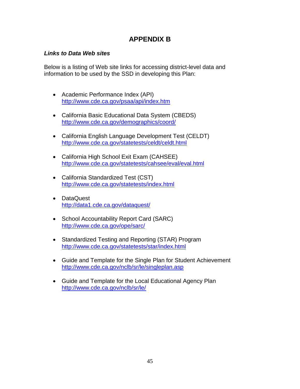# **APPENDIX B**

## *Links to Data Web sites*

Below is a listing of Web site links for accessing district-level data and information to be used by the SSD in developing this Plan:

- Academic Performance Index (API) <http://www.cde.ca.gov/psaa/api/index.htm>
- California Basic Educational Data System (CBEDS) <http://www.cde.ca.gov/demographics/coord/>
- California English Language Development Test (CELDT) <http://www.cde.ca.gov/statetests/celdt/celdt.html>
- California High School Exit Exam (CAHSEE) <http://www.cde.ca.gov/statetests/cahsee/eval/eval.html>
- California Standardized Test (CST) <http://www.cde.ca.gov/statetests/index.html>
- DataQuest <http://data1.cde.ca.gov/dataquest/>
- School Accountability Report Card (SARC) <http://www.cde.ca.gov/ope/sarc/>
- Standardized Testing and Reporting (STAR) Program <http://www.cde.ca.gov/statetests/star/index.html>
- Guide and Template for the Single Plan for Student Achievement <http://www.cde.ca.gov/nclb/sr/le/singleplan.asp>
- Guide and Template for the Local Educational Agency Plan <http://www.cde.ca.gov/nclb/sr/le/>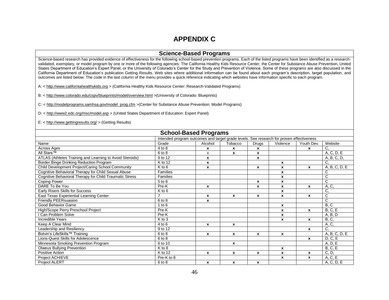## **APPENDIX C**

#### **Science-Based Programs**

Science-based research has provided evidence of effectiveness for the following school-based prevention programs. Each of the listed programs have been identified as a researchvalidated, exemplary, or model program by one or more of the following agencies: The California Healthy Kids Resource Center, the Center for Substance Abuse Prevention, United States Department of Education's Expert Panel, or the University of Colorado's Center for the Study and Prevention of Violence. Some of these programs are also discussed in the California Department of Education's publication Getting Results. Web sites where additional information can be found about each program's description, target population, and outcomes are listed below. The code in the last column of the menu provides a quick reference indicating which websites have information specific to each program.

A: [< http://www.californiahealthykids.org](http://www.californiahealthykids.org/) > (California Healthy Kids Resource Center: Research-Validated Programs)

B: [< http://www.colorado.edu/cspv/blueprints/model/overview.html](http://www.colorado.edu/cspv/blueprints/model/overview.html) >(University of Colorado: Blueprints)

C: < [http://modelprograms.samhsa.gov/model\\_prog.cfm](http://modelprograms.samhsa.gov/model_prog.cfm) >(Center for Substance Abuse Prevention: Model Programs)

D: <<http://www2.edc.org/msc/model.asp> > (United States Department of Education: Expert Panel)

E: [< http://www.gettingresults.org/](http://www.gettingresults.org/) > (Getting Results)

| <b>School-Based Programs</b>                                                             |                     |                           |         |              |          |                    |               |  |
|------------------------------------------------------------------------------------------|---------------------|---------------------------|---------|--------------|----------|--------------------|---------------|--|
| Intended program outcomes and target grade levels. See research for proven effectiveness |                     |                           |         |              |          |                    |               |  |
| Name                                                                                     | Grade               | Alcohol                   | Tobacco | Drugs        | Violence | Youth Dev.         | Website       |  |
| Across Ages                                                                              | 4 to 8              | $\mathbf x$               | X       | x            |          | x                  | C.            |  |
| All Stars <sup>™</sup>                                                                   | 6 to 8              | x                         | X       | x            |          |                    | A, C, D, E    |  |
| ATLAS (Athletes Training and Learning to Avoid Steroids)                                 | 9 to 12             | $\boldsymbol{\mathsf{x}}$ |         | x            |          |                    | A, B, C, D,   |  |
| Border Binge Drinking Reduction Program                                                  | K to 12             | $\boldsymbol{\mathsf{x}}$ |         |              | x        |                    | C,            |  |
| Child Development Project/Caring School Community                                        | K to 6              | X                         |         | x            | x        | x                  | A, B, C, D, E |  |
| Cognitive Behavioral Therapy for Child Sexual Abuse                                      | <b>Families</b>     |                           |         |              | x        |                    | С             |  |
| Cognitive Behavioral Therapy for Child Traumatic Stress                                  | Families            |                           |         |              | x        |                    | C             |  |
| <b>Coping Power</b>                                                                      | 5 to 8              |                           |         | x            | X        |                    | C             |  |
| DARE To Be You                                                                           | Pre-K               | $\mathbf{x}$              |         | x            | x        | x                  | A, C,         |  |
| <b>Early Risers Skills for Success</b>                                                   | $K$ to 6            |                           |         |              | x        |                    | C,            |  |
| East Texas Experiential Learning Center                                                  | $\overline{7}$      | $\boldsymbol{x}$          | x       | x            | X        | x                  | C             |  |
| Friendly PEERsuasion                                                                     | 6 to 8              | $\boldsymbol{\mathsf{x}}$ |         |              |          |                    | C             |  |
| Good Behavior Game                                                                       | $1$ to $6$          |                           |         |              | x        |                    | B, C          |  |
| High/Scope Perry Preschool Project                                                       | Pre-K               |                           |         |              | X        | X                  | B, C, E       |  |
| <b>Can Problem Solve</b>                                                                 | Pre-K               |                           |         |              | x        |                    | A, B, D       |  |
| <b>Incredible Years</b>                                                                  | $\overline{K}$ to 3 |                           |         |              | X        | x                  | <b>B</b> , C, |  |
| Keep A Clear Mind                                                                        | 4 to 6              | $\mathbf x$               | X       |              |          |                    | A, C,         |  |
| Leadership and Resiliency                                                                | 9 to 12             |                           |         |              |          | $\pmb{\mathsf{x}}$ | C,            |  |
| Botvin's LifeSkills™ Training                                                            | 6 to 8              | $\boldsymbol{x}$          | X       | x            | x        |                    | A, B, C, D, E |  |
| Lions-Quest Skills for Adolescence                                                       | 6 to 8              |                           |         |              |          | x                  | D, C, E       |  |
| Minnesota Smoking Prevention Program                                                     | 6 to 10             |                           | x       |              |          |                    | A, D, E       |  |
| <b>Olweus Bullying Prevention</b>                                                        | K to 8              |                           |         |              | X        |                    | B, C, E       |  |
| Positive Action                                                                          | K to 12             | $\boldsymbol{\mathsf{x}}$ | X       | x            | x        | x                  | C, D,         |  |
| Project ACHIEVE                                                                          | Pre-K to 8          |                           |         |              | x        | x                  | A, C, E       |  |
| Project ALERT                                                                            | 6 to 8              | $\boldsymbol{x}$          | X       | $\mathbf{x}$ |          |                    | A, C, D, E    |  |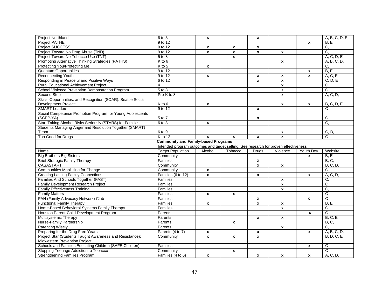| <b>Project Northland</b>                                                       | 6 to 8                                     | $\pmb{\mathsf{x}}$ |                                                                                     | $\boldsymbol{x}$          |                         |                    | A, B, C, D, E         |  |  |  |  |
|--------------------------------------------------------------------------------|--------------------------------------------|--------------------|-------------------------------------------------------------------------------------|---------------------------|-------------------------|--------------------|-----------------------|--|--|--|--|
| <b>Project PATHE</b>                                                           | 9 to 12                                    |                    |                                                                                     |                           |                         | $\mathbf{x}$       | B.E                   |  |  |  |  |
| <b>Project SUCCESS</b>                                                         | 9 to 12                                    | $\pmb{\mathsf{x}}$ | X                                                                                   | x                         |                         |                    | C.                    |  |  |  |  |
| Project Toward No Drug Abuse (TND)                                             | 9 to 12                                    | $\pmb{\mathsf{x}}$ | $\pmb{\chi}$                                                                        | $\pmb{\chi}$              | $\mathbf{x}$            |                    | C.                    |  |  |  |  |
| Project Toward No Tobacco Use (TNT)                                            | 5 to 8                                     |                    | $\mathbf{x}$                                                                        |                           |                         |                    | A, C, D, E            |  |  |  |  |
| Promoting Alternative Thinking Strategies (PATHS)                              | $K$ to 6                                   |                    |                                                                                     |                           | $\pmb{\mathsf{x}}$      |                    | A, B, C, D,           |  |  |  |  |
| Protecting You/Protecting Me                                                   | $K$ to 5                                   | $\mathbf{x}$       |                                                                                     |                           |                         |                    | C,                    |  |  |  |  |
| <b>Quantum Opportunities</b>                                                   | 9 to 12                                    |                    |                                                                                     |                           |                         | $\mathbf{x}$       | B.E                   |  |  |  |  |
| Reconnecting Youth                                                             | $9$ to 12                                  | X                  |                                                                                     | $\boldsymbol{x}$          | $\mathbf{x}$            | $\mathbf{x}$       | A, C, E               |  |  |  |  |
| Responding in Peaceful and Positive Ways                                       | 6 to 12                                    |                    |                                                                                     | $\pmb{\chi}$              | $\pmb{\chi}$            |                    | C, D, E               |  |  |  |  |
| Rural Educational Achievement Project                                          | $\overline{4}$                             |                    |                                                                                     |                           | $\pmb{\mathsf{x}}$      |                    | C                     |  |  |  |  |
| School Violence Prevention Demonstration Program                               | $5$ to $8$                                 |                    |                                                                                     |                           | $\mathbf{x}$            |                    | C                     |  |  |  |  |
| Second Step                                                                    | Pre-K to 8                                 |                    |                                                                                     |                           | $\pmb{\chi}$            |                    | A, C, D,              |  |  |  |  |
| Skills, Opportunities, and Recognition (SOAR): Seattle Social                  |                                            |                    |                                                                                     |                           |                         |                    |                       |  |  |  |  |
| Development Project:                                                           | K to 6                                     | X                  |                                                                                     |                           | x                       | $\mathbf{x}$       | <b>B, C, D, E</b>     |  |  |  |  |
| <b>SMART Leaders</b>                                                           | 9 to 12                                    |                    |                                                                                     | $\mathbf{x}$              |                         |                    | C                     |  |  |  |  |
| Social Competence Promotion Program for Young Adolescents                      |                                            |                    |                                                                                     |                           |                         |                    |                       |  |  |  |  |
| (SCPP-YA)                                                                      | 5 to 7                                     |                    |                                                                                     | $\pmb{\mathsf{x}}$        |                         |                    | С                     |  |  |  |  |
| Start Taking Alcohol Risks Seriously (STARS) for Families                      | $6$ to $8$                                 | $\mathbf{x}$       |                                                                                     |                           |                         |                    | C.                    |  |  |  |  |
| Students Managing Anger and Resolution Together (SMART)                        |                                            |                    |                                                                                     |                           |                         |                    |                       |  |  |  |  |
| Team                                                                           | 6 to 9                                     |                    |                                                                                     |                           | x                       |                    | C, D,                 |  |  |  |  |
| <b>Too Good for Drugs</b>                                                      | K to 12                                    | X                  | $\mathbf{x}$                                                                        | $\boldsymbol{x}$          | $\pmb{\chi}$            |                    | C                     |  |  |  |  |
|                                                                                | <b>Community and Family-based Programs</b> |                    |                                                                                     |                           |                         |                    |                       |  |  |  |  |
|                                                                                |                                            |                    | Intended program outcomes and target setting. See research for proven effectiveness |                           |                         |                    |                       |  |  |  |  |
|                                                                                |                                            |                    |                                                                                     |                           |                         |                    |                       |  |  |  |  |
| Name                                                                           | <b>Target Population</b>                   | Alcohol            | Tobacco                                                                             | <b>Drugs</b>              | Violence                | Youth Dev.         | Website               |  |  |  |  |
| <b>Big Brothers Big Sisters</b>                                                | Community                                  |                    |                                                                                     |                           |                         | $\mathbf{x}$       | B.E                   |  |  |  |  |
| <b>Brief Strategic Family Therapy</b>                                          | Families                                   |                    |                                                                                     | x                         |                         |                    | <b>B</b> , C,         |  |  |  |  |
| <b>CASASTART</b>                                                               | Community                                  |                    |                                                                                     | $\boldsymbol{\mathsf{x}}$ | $\pmb{\mathsf{x}}$      |                    | <b>B</b> , C, D,      |  |  |  |  |
| Communities Mobilizing for Change                                              | Community                                  | $\pmb{\mathsf{x}}$ |                                                                                     |                           |                         |                    | C                     |  |  |  |  |
| <b>Creating Lasting Family Connections</b>                                     | Families (6 to 12)                         | $\mathbf{x}$       |                                                                                     | $\boldsymbol{x}$          |                         | $\mathbf{x}$       | A, C, D,              |  |  |  |  |
| Families And Schools Together (FAST)                                           | Families                                   |                    |                                                                                     |                           | $\mathbf{x}$            |                    | C,                    |  |  |  |  |
| Family Development Research Project                                            | Families                                   |                    |                                                                                     |                           | x                       |                    | C                     |  |  |  |  |
| <b>Family Effectiveness Training</b>                                           | Families                                   |                    |                                                                                     |                           | $\overline{\mathbf{x}}$ |                    | $\overline{C}$        |  |  |  |  |
| <b>Family Matters</b>                                                          | Families                                   | $\pmb{\mathsf{x}}$ | $\pmb{\mathsf{x}}$                                                                  |                           |                         |                    | $\mathsf{C}$          |  |  |  |  |
| FAN (Family Advocacy Network) Club                                             | Families                                   |                    |                                                                                     | X                         |                         | $\pmb{\mathsf{x}}$ | C                     |  |  |  |  |
| <b>Functional Family Therapy</b>                                               | Families                                   | $\mathbf{x}$       |                                                                                     | $\mathbf{x}$              | $\mathbf{x}$            |                    | B, E                  |  |  |  |  |
| Home-Based Behavioral Systems Family Therapy                                   | Families                                   |                    |                                                                                     |                           | $\mathbf{x}$            |                    | С                     |  |  |  |  |
| Houston Parent-Child Development Program                                       | Parents                                    |                    |                                                                                     |                           |                         | X                  | $\overline{\text{c}}$ |  |  |  |  |
| Multisystemic Therapy                                                          | Parents                                    |                    |                                                                                     | $\pmb{\mathsf{x}}$        | $\pmb{\mathsf{x}}$      |                    | B, C, E               |  |  |  |  |
| Nurse-Family Partnership                                                       | Parents                                    |                    | $\boldsymbol{x}$                                                                    |                           |                         |                    | B, C,                 |  |  |  |  |
| <b>Parenting Wisely</b>                                                        | Parents                                    |                    |                                                                                     |                           | $\mathbf{x}$            |                    | C.                    |  |  |  |  |
| Preparing for the Drug Free Years                                              | Parents (4 to 7)                           | $\pmb{\mathsf{x}}$ |                                                                                     | $\mathbf{x}$              |                         | $\mathbf{x}$       | A, B, C, D,           |  |  |  |  |
| Project Star (Students Taught Awareness and Resistance):                       | Community                                  | $\mathbf{x}$       | $\mathbf{x}$                                                                        | $\mathbf{x}$              |                         |                    | <b>B. D. C. E</b>     |  |  |  |  |
| Midwestern Prevention Project                                                  |                                            |                    |                                                                                     |                           |                         |                    |                       |  |  |  |  |
| Schools and Families Educating Children (SAFE Children)                        | Families                                   |                    |                                                                                     |                           |                         | $\mathbf{x}$       | $\overline{C}$        |  |  |  |  |
| Stopping Teenage Addiction to Tobacco<br><b>Strengthening Families Program</b> | Community<br>Families (4 to 6)             |                    | $\pmb{\mathsf{x}}$                                                                  |                           |                         |                    | C<br>A, C, D,         |  |  |  |  |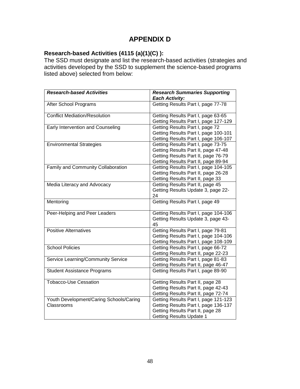# **APPENDIX D**

### **Research-based Activities (4115 (a)(1)(C) ):**

The SSD must designate and list the research-based activities (strategies and activities developed by the SSD to supplement the science-based programs listed above) selected from below:

| <b>Research-based Activities</b>        | <b>Research Summaries Supporting</b> |
|-----------------------------------------|--------------------------------------|
|                                         | <b>Each Activity:</b>                |
| After School Programs                   | Getting Results Part I, page 77-78   |
| <b>Conflict Mediation/Resolution</b>    | Getting Results Part I, page 63-65   |
|                                         | Getting Results Part I, page 127-129 |
| Early Intervention and Counseling       | Getting Results Part I, page 72      |
|                                         | Getting Results Part I, page 100-101 |
|                                         | Getting Results Part I, page 106-107 |
| <b>Environmental Strategies</b>         | Getting Results Part I, page 73-75   |
|                                         | Getting Results Part II, page 47-48  |
|                                         | Getting Results Part II, page 76-79  |
|                                         | Getting Results Part II, page 89-94  |
| Family and Community Collaboration      | Getting Results Part I, page 104-105 |
|                                         | Getting Results Part II, page 26-28  |
|                                         | Getting Results Part II, page 33     |
| Media Literacy and Advocacy             | Getting Results Part II, page 45     |
|                                         | Getting Results Update 3, page 22-   |
|                                         | 24                                   |
| Mentoring                               | Getting Results Part I, page 49      |
|                                         |                                      |
| Peer-Helping and Peer Leaders           | Getting Results Part I, page 104-106 |
|                                         | Getting Results Update 3, page 43-   |
|                                         | 45                                   |
| <b>Positive Alternatives</b>            | Getting Results Part I, page 79-81   |
|                                         | Getting Results Part I, page 104-106 |
|                                         | Getting Results Part I, page 108-109 |
| <b>School Policies</b>                  | Getting Results Part I, page 66-72   |
|                                         | Getting Results Part II, page 22-23  |
| Service Learning/Community Service      | Getting Results Part I, page 81-83   |
|                                         | Getting Results Part II, page 46-47  |
| <b>Student Assistance Programs</b>      | Getting Results Part I, page 89-90   |
| <b>Tobacco-Use Cessation</b>            | Getting Results Part II, page 28     |
|                                         | Getting Results Part II, page 42-43  |
|                                         | Getting Results Part II, page 72-74  |
| Youth Development/Caring Schools/Caring | Getting Results Part I, page 121-123 |
| Classrooms                              | Getting Results Part I, page 136-137 |
|                                         | Getting Results Part II, page 28     |
|                                         | <b>Getting Results Update 1</b>      |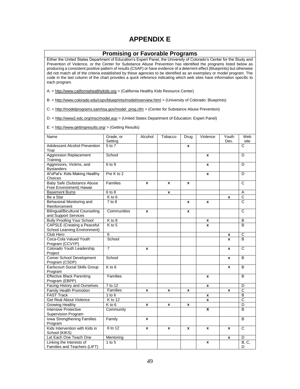## **APPENDIX E**

#### **Promising or Favorable Programs**

Either the United States Department of Education's Expert Panel, the University of Colorado's Center for the Study and Prevention of Violence, or the Center for Substance Abuse Prevention has identified the programs listed below as producing a consistent positive pattern of results (CSAP) or have evidence of a deterrent effect (Blueprints) but otherwise did not match all of the criteria established by these agencies to be identified as an exemplary or model program. The code in the last column of the chart provides a quick reference indicating which web sites have information specific to each program.

A: [< http://www.californiahealthykids.org](http://www.californiahealthykids.org/) > (California Healthy Kids Resource Center)

B: [< http://www.colorado.edu/cspv/blueprints/model/overview.html](http://www.colorado.edu/cspv/blueprints/model/overview.html) > (University of Colorado: Blueprints)

C: < [http://modelprograms.samhsa.gov/model\\_prog.cfm](http://modelprograms.samhsa.gov/model_prog.cfm) > (Center for Substance Abuse Prevention)

D: <<http://www2.edc.org/msc/model.asp> > (United States Department of Education: Expert Panel)

E: [< http://www.gettingresults.org/](http://www.gettingresults.org/) > (Getting Results)

| Name                                                               | Grade, or<br>Setting | Alcohol            | Tobacco            | Drug         | Violence     | Youth<br>Dev. | Web<br>site           |
|--------------------------------------------------------------------|----------------------|--------------------|--------------------|--------------|--------------|---------------|-----------------------|
| <b>Adolescent Alcohol Prevention</b><br>Trial                      | $5$ to $7$           |                    |                    | X            |              |               | C                     |
| <b>Aggression Replacement</b><br>Training                          | School               |                    |                    |              | $\mathbf{x}$ |               | D                     |
| Aggressors, Victims, and<br><b>Bystanders</b>                      | 6 to 9               |                    |                    |              | X            |               | D                     |
| Al'sPal's: Kids Making Healthy<br>Choices                          | Pre K to 2           |                    |                    |              | X            |               | D                     |
| <b>Baby Safe (Substance Abuse</b><br>Free Environment) Hawaii      | Families             | $\mathbf{x}$       | X                  | $\mathbf{x}$ |              |               | C                     |
| <b>Basement Bums</b>                                               | 6 to 8               |                    | x                  |              |              |               | A                     |
| Be a Star                                                          | K to 6               |                    |                    |              |              | x             | C                     |
| Behavioral Monitoring and<br>Reinforcement                         | $7$ to $8$           |                    |                    | x            | X            |               | $\overline{\text{c}}$ |
| <b>Bilingual/Bicultural Counseling</b><br>and Support Services     | Communities          | $\mathbf{x}$       |                    | X            |              |               | C                     |
| <b>Bully Proofing Your School</b>                                  | $K$ to 8             |                    |                    |              | x            |               | B                     |
| <b>CAPSLE</b> (Creating a Peaceful<br>School Learning Environment) | $K$ to 5             |                    |                    |              | X            |               | B                     |
| Club Hero                                                          | 6                    |                    |                    |              |              | x             | $\mathsf C$           |
| Coca-Cola Valued Youth<br>Program (CCVYP)                          | School               |                    |                    |              |              | x             | <sub>B</sub>          |
| Colorado Youth Leadership<br>Project                               | 7                    | X                  |                    |              |              | x             | $\overline{c}$        |
| <b>Comer School Development</b><br>Program (CSDP)                  | School               |                    |                    |              |              | X             | B                     |
| <b>Earlscourt Social Skills Group</b><br>Program                   | $K$ to 6             |                    |                    |              |              | $\mathbf{x}$  | B                     |
| <b>Effective Black Parenting</b><br>Program (EBPP)                 | Families             |                    |                    |              | $\mathbf{x}$ |               | B                     |
| <b>Facing History and Ourselves</b>                                | $\overline{7}$ to 12 |                    |                    |              | x            |               | D                     |
| <b>Family Health Promotion</b>                                     | Families             | X                  | x                  | x            |              | x             | $\overline{\text{c}}$ |
| <b>FAST Track</b>                                                  | $1$ to $6$           |                    |                    |              | x            |               | B                     |
| <b>Get Real About Violence</b>                                     | K to 12              |                    |                    |              | $\mathbf{x}$ |               | $\overline{C}$        |
| <b>Growing Healthy</b>                                             | $K$ to 6             | $\pmb{\mathsf{x}}$ | $\pmb{\mathsf{x}}$ | x            |              |               | D                     |
| <b>Intensive Protective</b><br>Supervision Program                 | Community            |                    |                    |              | X            |               | B                     |
| Iowa Strengthening Families<br>Program                             | Family               | X                  |                    |              |              |               | B                     |
| Kids Intervention with Kids in<br>School (KIKS)                    | 6 to 12              | X                  | x                  | $\mathbf{x}$ | X            | X             | $\overline{C}$        |
| Let Each One Teach One                                             | Mentoring            |                    |                    |              |              | x             | D                     |
| Linking the Interests of<br>Families and Teachers (LIFT)           | $1$ to $5$           |                    |                    |              | x            |               | B, C,<br>D            |